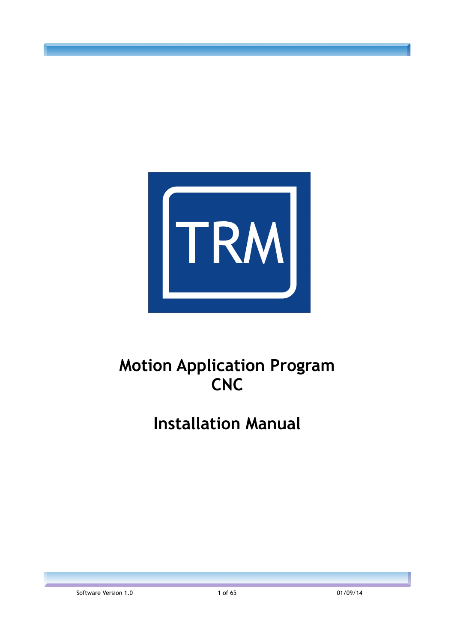

# **Motion Application Program CNC**

# **Installation Manual**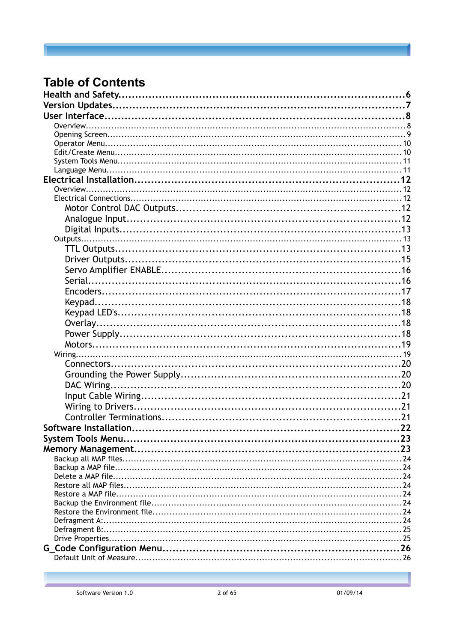## **Table of Contents**

| 23  |
|-----|
| .23 |
|     |
|     |
|     |
|     |
|     |
|     |
|     |
|     |
|     |
|     |
|     |
|     |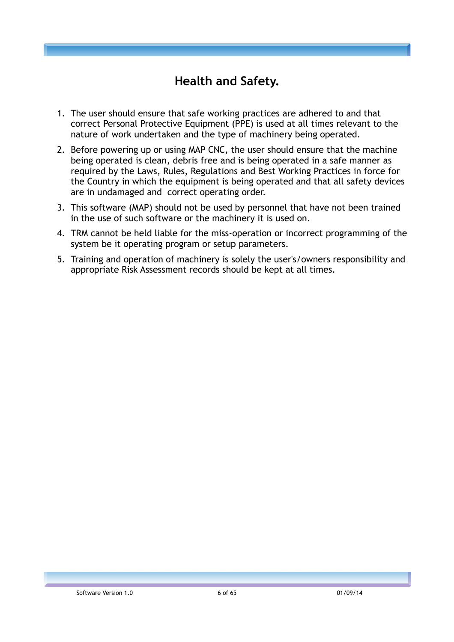## **Health and Safety.**

- 1. The user should ensure that safe working practices are adhered to and that correct Personal Protective Equipment (PPE) is used at all times relevant to the nature of work undertaken and the type of machinery being operated.
- 2. Before powering up or using MAP CNC, the user should ensure that the machine being operated is clean, debris free and is being operated in a safe manner as required by the Laws, Rules, Regulations and Best Working Practices in force for the Country in which the equipment is being operated and that all safety devices are in undamaged and correct operating order.
- 3. This software (MAP) should not be used by personnel that have not been trained in the use of such software or the machinery it is used on.
- 4. TRM cannot be held liable for the miss-operation or incorrect programming of the system be it operating program or setup parameters.
- 5. Training and operation of machinery is solely the user's/owners responsibility and appropriate Risk Assessment records should be kept at all times.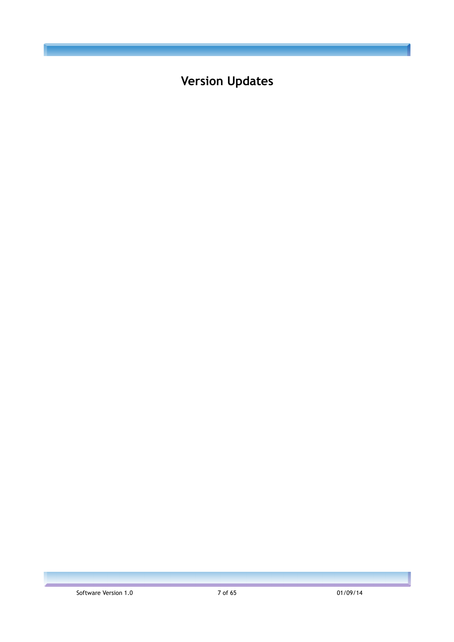**Version Updates**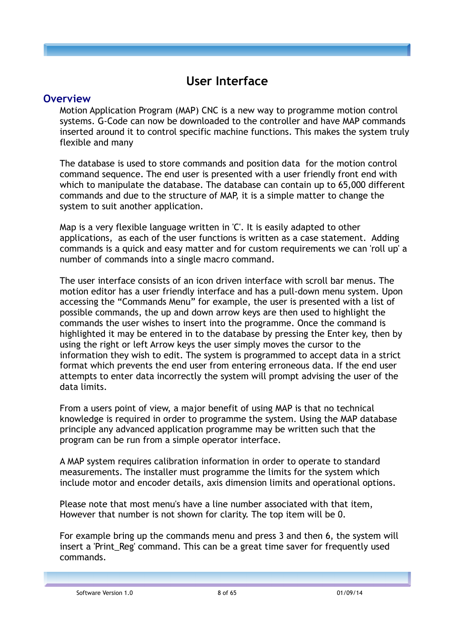## **User Interface**

#### **Overview**

Motion Application Program (MAP) CNC is a new way to programme motion control systems. G-Code can now be downloaded to the controller and have MAP commands inserted around it to control specific machine functions. This makes the system truly flexible and many

The database is used to store commands and position data for the motion control command sequence. The end user is presented with a user friendly front end with which to manipulate the database. The database can contain up to 65,000 different commands and due to the structure of MAP, it is a simple matter to change the system to suit another application.

Map is a very flexible language written in 'C'. It is easily adapted to other applications, as each of the user functions is written as a case statement. Adding commands is a quick and easy matter and for custom requirements we can 'roll up' a number of commands into a single macro command.

The user interface consists of an icon driven interface with scroll bar menus. The motion editor has a user friendly interface and has a pull-down menu system. Upon accessing the "Commands Menu" for example, the user is presented with a list of possible commands, the up and down arrow keys are then used to highlight the commands the user wishes to insert into the programme. Once the command is highlighted it may be entered in to the database by pressing the Enter key, then by using the right or left Arrow keys the user simply moves the cursor to the information they wish to edit. The system is programmed to accept data in a strict format which prevents the end user from entering erroneous data. If the end user attempts to enter data incorrectly the system will prompt advising the user of the data limits.

From a users point of view, a major benefit of using MAP is that no technical knowledge is required in order to programme the system. Using the MAP database principle any advanced application programme may be written such that the program can be run from a simple operator interface.

A MAP system requires calibration information in order to operate to standard measurements. The installer must programme the limits for the system which include motor and encoder details, axis dimension limits and operational options.

Please note that most menu's have a line number associated with that item, However that number is not shown for clarity. The top item will be 0.

For example bring up the commands menu and press 3 and then 6, the system will insert a 'Print Reg' command. This can be a great time saver for frequently used commands.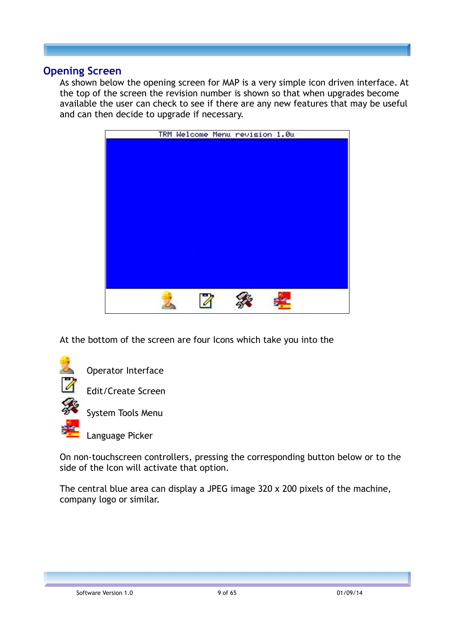#### **Opening Screen**

As shown below the opening screen for MAP is a very simple icon driven interface. At the top of the screen the revision number is shown so that when upgrades become available the user can check to see if there are any new features that may be useful and can then decide to upgrade if necessary.



At the bottom of the screen are four Icons which take you into the



Operator Interface

Edit/Create Screen

System Tools Menu

Language Picker

On non-touchscreen controllers, pressing the corresponding button below or to the side of the Icon will activate that option.

The central blue area can display a JPEG image 320 x 200 pixels of the machine, company logo or similar.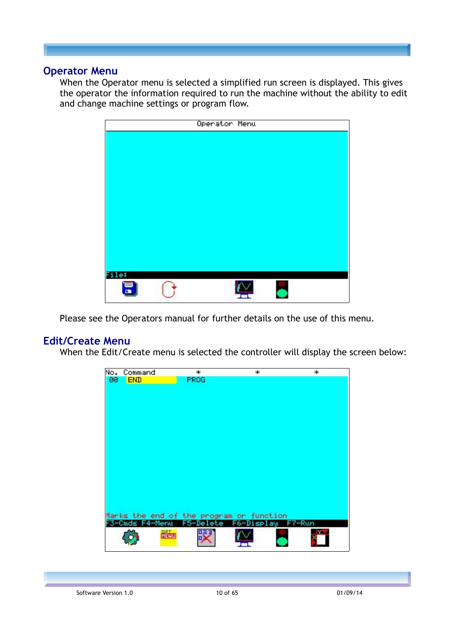#### **Operator Menu**

When the Operator menu is selected a simplified run screen is displayed. This gives the operator the information required to run the machine without the ability to edit and change machine settings or program flow.

|      | Operator Menu |  |  |
|------|---------------|--|--|
|      |               |  |  |
|      |               |  |  |
|      |               |  |  |
|      |               |  |  |
|      |               |  |  |
|      |               |  |  |
|      |               |  |  |
|      |               |  |  |
|      |               |  |  |
|      |               |  |  |
|      |               |  |  |
| the! |               |  |  |

Please see the Operators manual for further details on the use of this menu.

## **Edit/Create Menu**

When the Edit/Create menu is selected the controller will display the screen below:

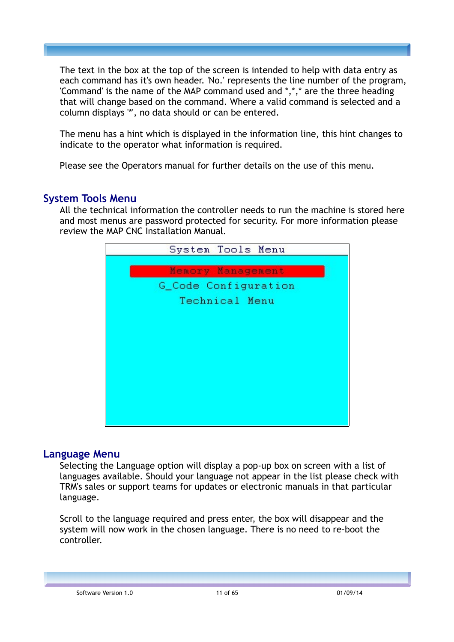The text in the box at the top of the screen is intended to help with data entry as each command has it's own header. 'No.' represents the line number of the program, 'Command' is the name of the MAP command used and \*,\*,\* are the three heading that will change based on the command. Where a valid command is selected and a column displays '\*', no data should or can be entered.

The menu has a hint which is displayed in the information line, this hint changes to indicate to the operator what information is required.

Please see the Operators manual for further details on the use of this menu.

#### **System Tools Menu**

All the technical information the controller needs to run the machine is stored here and most menus are password protected for security. For more information please review the MAP CNC Installation Manual.



#### **Language Menu**

Selecting the Language option will display a pop-up box on screen with a list of languages available. Should your language not appear in the list please check with TRM's sales or support teams for updates or electronic manuals in that particular language.

Scroll to the language required and press enter, the box will disappear and the system will now work in the chosen language. There is no need to re-boot the controller.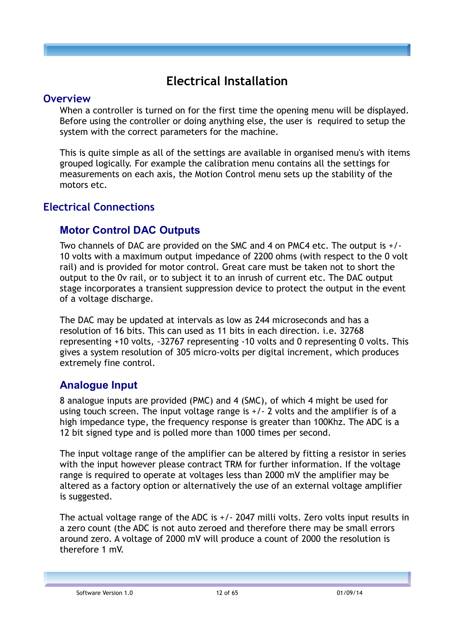## **Electrical Installation**

#### **Overview**

When a controller is turned on for the first time the opening menu will be displayed. Before using the controller or doing anything else, the user is required to setup the system with the correct parameters for the machine.

This is quite simple as all of the settings are available in organised menu's with items grouped logically. For example the calibration menu contains all the settings for measurements on each axis, the Motion Control menu sets up the stability of the motors etc.

## **Electrical Connections**

## **Motor Control DAC Outputs**

Two channels of DAC are provided on the SMC and 4 on PMC4 etc. The output is +/- 10 volts with a maximum output impedance of 2200 ohms (with respect to the 0 volt rail) and is provided for motor control. Great care must be taken not to short the output to the 0v rail, or to subject it to an inrush of current etc. The DAC output stage incorporates a transient suppression device to protect the output in the event of a voltage discharge.

The DAC may be updated at intervals as low as 244 microseconds and has a resolution of 16 bits. This can used as 11 bits in each direction. i.e. 32768 representing +10 volts, -32767 representing -10 volts and 0 representing 0 volts. This gives a system resolution of 305 micro-volts per digital increment, which produces extremely fine control.

## **Analogue Input**

8 analogue inputs are provided (PMC) and 4 (SMC), of which 4 might be used for using touch screen. The input voltage range is +/- 2 volts and the amplifier is of a high impedance type, the frequency response is greater than 100Khz. The ADC is a 12 bit signed type and is polled more than 1000 times per second.

The input voltage range of the amplifier can be altered by fitting a resistor in series with the input however please contract TRM for further information. If the voltage range is required to operate at voltages less than 2000 mV the amplifier may be altered as a factory option or alternatively the use of an external voltage amplifier is suggested.

The actual voltage range of the ADC is +/- 2047 milli volts. Zero volts input results in a zero count (the ADC is not auto zeroed and therefore there may be small errors around zero. A voltage of 2000 mV will produce a count of 2000 the resolution is therefore 1 mV.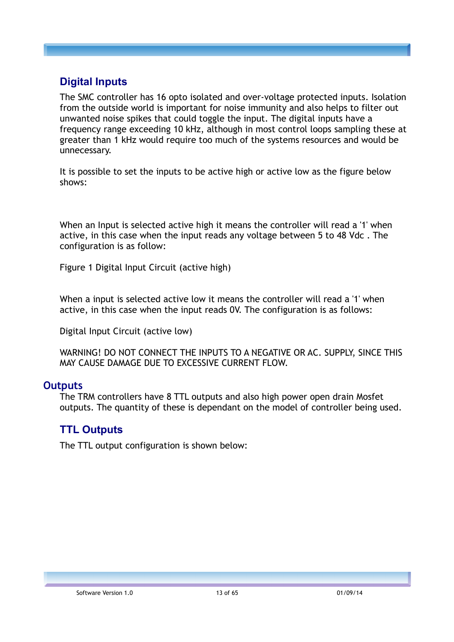## **Digital Inputs**

The SMC controller has 16 opto isolated and over-voltage protected inputs. Isolation from the outside world is important for noise immunity and also helps to filter out unwanted noise spikes that could toggle the input. The digital inputs have a frequency range exceeding 10 kHz, although in most control loops sampling these at greater than 1 kHz would require too much of the systems resources and would be unnecessary.

It is possible to set the inputs to be active high or active low as the figure below shows:

When an Input is selected active high it means the controller will read a '1' when active, in this case when the input reads any voltage between 5 to 48 Vdc . The configuration is as follow:

Figure 1 Digital Input Circuit (active high)

When a input is selected active low it means the controller will read a '1' when active, in this case when the input reads 0V. The configuration is as follows:

Digital Input Circuit (active low)

WARNING! DO NOT CONNECT THE INPUTS TO A NEGATIVE OR AC. SUPPLY, SINCE THIS MAY CAUSE DAMAGE DUE TO EXCESSIVE CURRENT FLOW.

#### **Outputs**

The TRM controllers have 8 TTL outputs and also high power open drain Mosfet outputs. The quantity of these is dependant on the model of controller being used.

#### **TTL Outputs**

The TTL output configuration is shown below: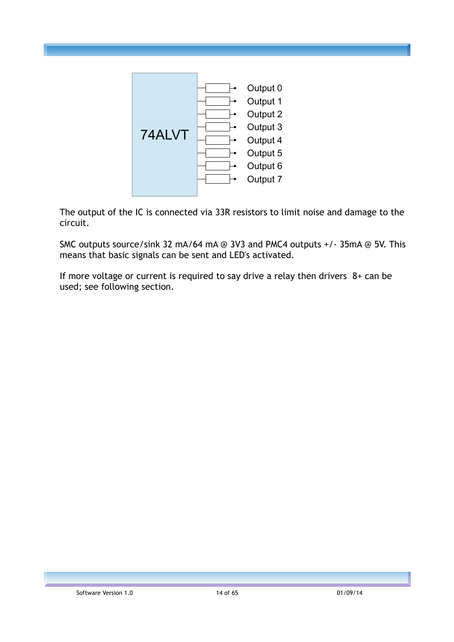

The output of the IC is connected via 33R resistors to limit noise and damage to the circuit.

SMC outputs source/sink 32 mA/64 mA @ 3V3 and PMC4 outputs +/- 35mA @ 5V. This means that basic signals can be sent and LED's activated.

If more voltage or current is required to say drive a relay then drivers 8+ can be used; see following section.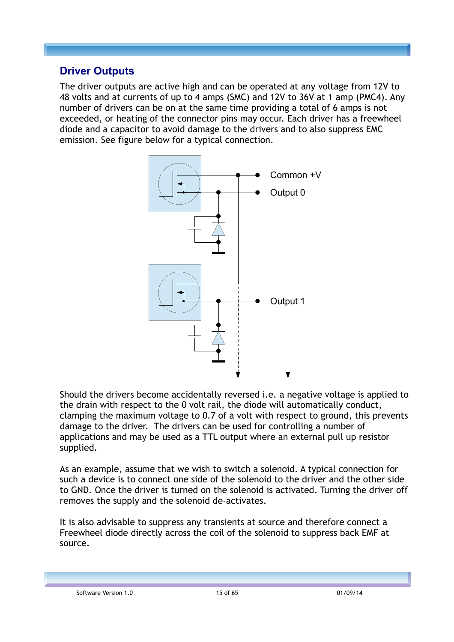## **Driver Outputs**

The driver outputs are active high and can be operated at any voltage from 12V to 48 volts and at currents of up to 4 amps (SMC) and 12V to 36V at 1 amp (PMC4). Any number of drivers can be on at the same time providing a total of 6 amps is not exceeded, or heating of the connector pins may occur. Each driver has a freewheel diode and a capacitor to avoid damage to the drivers and to also suppress EMC emission. See figure below for a typical connection.



Should the drivers become accidentally reversed i.e. a negative voltage is applied to the drain with respect to the 0 volt rail, the diode will automatically conduct, clamping the maximum voltage to 0.7 of a volt with respect to ground, this prevents damage to the driver. The drivers can be used for controlling a number of applications and may be used as a TTL output where an external pull up resistor supplied.

As an example, assume that we wish to switch a solenoid. A typical connection for such a device is to connect one side of the solenoid to the driver and the other side to GND. Once the driver is turned on the solenoid is activated. Turning the driver off removes the supply and the solenoid de-activates.

It is also advisable to suppress any transients at source and therefore connect a Freewheel diode directly across the coil of the solenoid to suppress back EMF at source.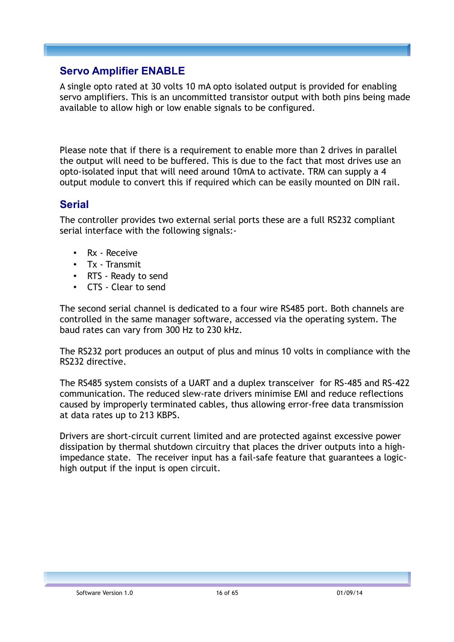## **Servo Amplifier ENABLE**

A single opto rated at 30 volts 10 mA opto isolated output is provided for enabling servo amplifiers. This is an uncommitted transistor output with both pins being made available to allow high or low enable signals to be configured.

Please note that if there is a requirement to enable more than 2 drives in parallel the output will need to be buffered. This is due to the fact that most drives use an opto-isolated input that will need around 10mA to activate. TRM can supply a 4 output module to convert this if required which can be easily mounted on DIN rail.

## **Serial**

The controller provides two external serial ports these are a full RS232 compliant serial interface with the following signals:-

- Rx Receive
- Tx Transmit
- RTS Ready to send
- CTS Clear to send

The second serial channel is dedicated to a four wire RS485 port. Both channels are controlled in the same manager software, accessed via the operating system. The baud rates can vary from 300 Hz to 230 kHz.

The RS232 port produces an output of plus and minus 10 volts in compliance with the RS232 directive.

The RS485 system consists of a UART and a duplex transceiver for RS-485 and RS-422 communication. The reduced slew-rate drivers minimise EMI and reduce reflections caused by improperly terminated cables, thus allowing error-free data transmission at data rates up to 213 KBPS.

Drivers are short-circuit current limited and are protected against excessive power dissipation by thermal shutdown circuitry that places the driver outputs into a highimpedance state. The receiver input has a fail-safe feature that guarantees a logichigh output if the input is open circuit.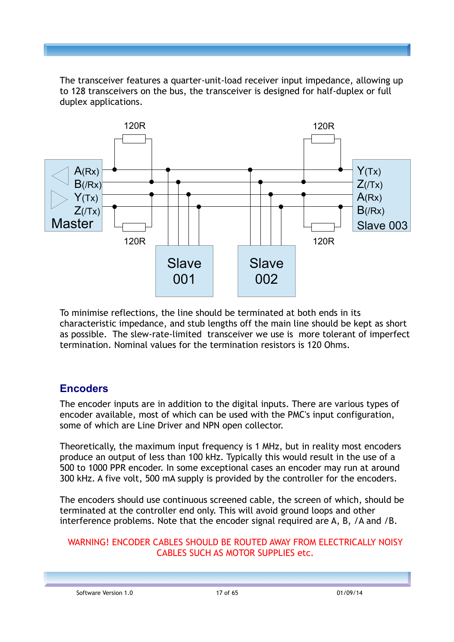The transceiver features a quarter-unit-load receiver input impedance, allowing up to 128 transceivers on the bus, the transceiver is designed for half-duplex or full duplex applications.



To minimise reflections, the line should be terminated at both ends in its characteristic impedance, and stub lengths off the main line should be kept as short as possible. The slew-rate-limited transceiver we use is more tolerant of imperfect termination. Nominal values for the termination resistors is 120 Ohms.

## **Encoders**

The encoder inputs are in addition to the digital inputs. There are various types of encoder available, most of which can be used with the PMC's input configuration, some of which are Line Driver and NPN open collector.

Theoretically, the maximum input frequency is 1 MHz, but in reality most encoders produce an output of less than 100 kHz. Typically this would result in the use of a 500 to 1000 PPR encoder. In some exceptional cases an encoder may run at around 300 kHz. A five volt, 500 mA supply is provided by the controller for the encoders.

The encoders should use continuous screened cable, the screen of which, should be terminated at the controller end only. This will avoid ground loops and other interference problems. Note that the encoder signal required are A, B, /A and /B.

#### WARNING! ENCODER CABLES SHOULD BE ROUTED AWAY FROM ELECTRICALLY NOISY CABLES SUCH AS MOTOR SUPPLIES etc.

Software Version 1.0 17 of 65 01/09/14 01/09/14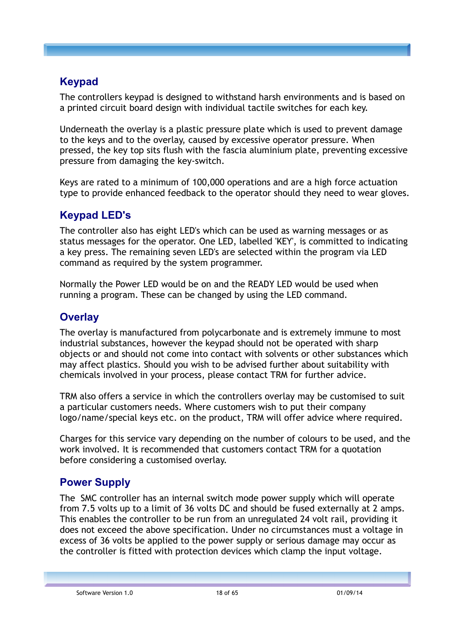## **Keypad**

The controllers keypad is designed to withstand harsh environments and is based on a printed circuit board design with individual tactile switches for each key.

Underneath the overlay is a plastic pressure plate which is used to prevent damage to the keys and to the overlay, caused by excessive operator pressure. When pressed, the key top sits flush with the fascia aluminium plate, preventing excessive pressure from damaging the key-switch.

Keys are rated to a minimum of 100,000 operations and are a high force actuation type to provide enhanced feedback to the operator should they need to wear gloves.

## **Keypad LED's**

The controller also has eight LED's which can be used as warning messages or as status messages for the operator. One LED, labelled 'KEY', is committed to indicating a key press. The remaining seven LED's are selected within the program via LED command as required by the system programmer.

Normally the Power LED would be on and the READY LED would be used when running a program. These can be changed by using the LED command.

## **Overlay**

The overlay is manufactured from polycarbonate and is extremely immune to most industrial substances, however the keypad should not be operated with sharp objects or and should not come into contact with solvents or other substances which may affect plastics. Should you wish to be advised further about suitability with chemicals involved in your process, please contact TRM for further advice.

TRM also offers a service in which the controllers overlay may be customised to suit a particular customers needs. Where customers wish to put their company logo/name/special keys etc. on the product, TRM will offer advice where required.

Charges for this service vary depending on the number of colours to be used, and the work involved. It is recommended that customers contact TRM for a quotation before considering a customised overlay.

## **Power Supply**

The SMC controller has an internal switch mode power supply which will operate from 7.5 volts up to a limit of 36 volts DC and should be fused externally at 2 amps. This enables the controller to be run from an unregulated 24 volt rail, providing it does not exceed the above specification. Under no circumstances must a voltage in excess of 36 volts be applied to the power supply or serious damage may occur as the controller is fitted with protection devices which clamp the input voltage.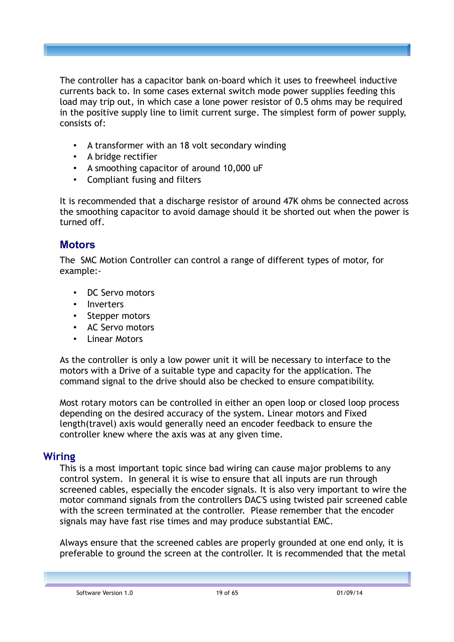The controller has a capacitor bank on-board which it uses to freewheel inductive currents back to. In some cases external switch mode power supplies feeding this load may trip out, in which case a lone power resistor of 0.5 ohms may be required in the positive supply line to limit current surge. The simplest form of power supply, consists of:

- A transformer with an 18 volt secondary winding
- A bridge rectifier
- A smoothing capacitor of around 10,000 uF
- Compliant fusing and filters

It is recommended that a discharge resistor of around 47K ohms be connected across the smoothing capacitor to avoid damage should it be shorted out when the power is turned off.

## **Motors**

The SMC Motion Controller can control a range of different types of motor, for example:-

- DC Servo motors
- **Inverters**
- Stepper motors
- AC Servo motors
- **Linear Motors**

As the controller is only a low power unit it will be necessary to interface to the motors with a Drive of a suitable type and capacity for the application. The command signal to the drive should also be checked to ensure compatibility.

Most rotary motors can be controlled in either an open loop or closed loop process depending on the desired accuracy of the system. Linear motors and Fixed length(travel) axis would generally need an encoder feedback to ensure the controller knew where the axis was at any given time.

## **Wiring**

This is a most important topic since bad wiring can cause major problems to any control system. In general it is wise to ensure that all inputs are run through screened cables, especially the encoder signals. It is also very important to wire the motor command signals from the controllers DAC'S using twisted pair screened cable with the screen terminated at the controller. Please remember that the encoder signals may have fast rise times and may produce substantial EMC.

Always ensure that the screened cables are properly grounded at one end only, it is preferable to ground the screen at the controller. It is recommended that the metal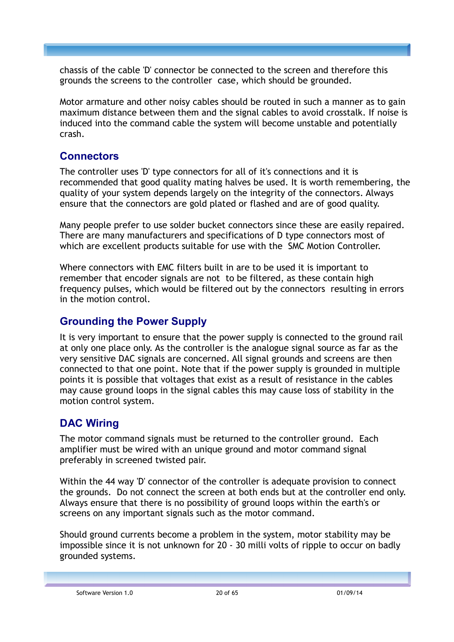chassis of the cable 'D' connector be connected to the screen and therefore this grounds the screens to the controller case, which should be grounded.

Motor armature and other noisy cables should be routed in such a manner as to gain maximum distance between them and the signal cables to avoid crosstalk. If noise is induced into the command cable the system will become unstable and potentially crash.

## **Connectors**

The controller uses 'D' type connectors for all of it's connections and it is recommended that good quality mating halves be used. It is worth remembering, the quality of your system depends largely on the integrity of the connectors. Always ensure that the connectors are gold plated or flashed and are of good quality.

Many people prefer to use solder bucket connectors since these are easily repaired. There are many manufacturers and specifications of D type connectors most of which are excellent products suitable for use with the SMC Motion Controller.

Where connectors with EMC filters built in are to be used it is important to remember that encoder signals are not to be filtered, as these contain high frequency pulses, which would be filtered out by the connectors resulting in errors in the motion control.

## **Grounding the Power Supply**

It is very important to ensure that the power supply is connected to the ground rail at only one place only. As the controller is the analogue signal source as far as the very sensitive DAC signals are concerned. All signal grounds and screens are then connected to that one point. Note that if the power supply is grounded in multiple points it is possible that voltages that exist as a result of resistance in the cables may cause ground loops in the signal cables this may cause loss of stability in the motion control system.

## **DAC Wiring**

The motor command signals must be returned to the controller ground. Each amplifier must be wired with an unique ground and motor command signal preferably in screened twisted pair.

Within the 44 way 'D' connector of the controller is adequate provision to connect the grounds. Do not connect the screen at both ends but at the controller end only. Always ensure that there is no possibility of ground loops within the earth's or screens on any important signals such as the motor command.

Should ground currents become a problem in the system, motor stability may be impossible since it is not unknown for 20 - 30 milli volts of ripple to occur on badly grounded systems.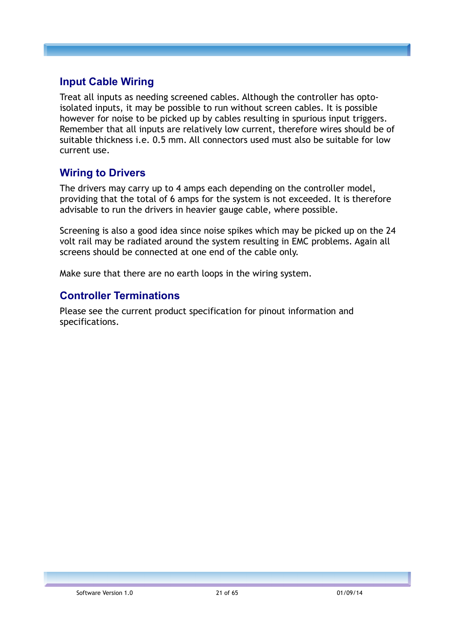## **Input Cable Wiring**

Treat all inputs as needing screened cables. Although the controller has optoisolated inputs, it may be possible to run without screen cables. It is possible however for noise to be picked up by cables resulting in spurious input triggers. Remember that all inputs are relatively low current, therefore wires should be of suitable thickness i.e. 0.5 mm. All connectors used must also be suitable for low current use.

## **Wiring to Drivers**

The drivers may carry up to 4 amps each depending on the controller model, providing that the total of 6 amps for the system is not exceeded. It is therefore advisable to run the drivers in heavier gauge cable, where possible.

Screening is also a good idea since noise spikes which may be picked up on the 24 volt rail may be radiated around the system resulting in EMC problems. Again all screens should be connected at one end of the cable only.

Make sure that there are no earth loops in the wiring system.

## **Controller Terminations**

Please see the current product specification for pinout information and specifications.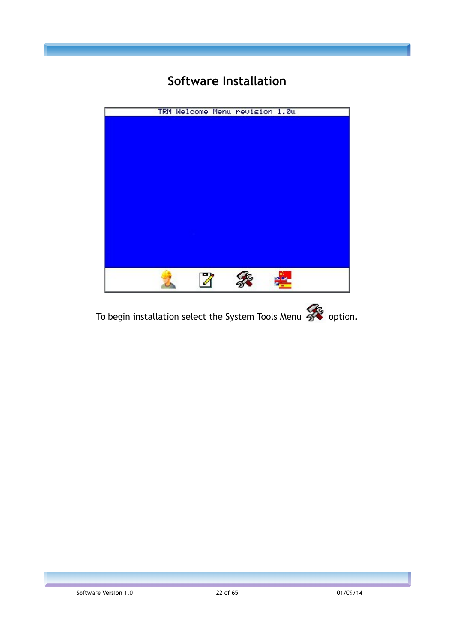## **Software Installation**



To begin installation select the System Tools Menu  $\mathscr{L}$  option.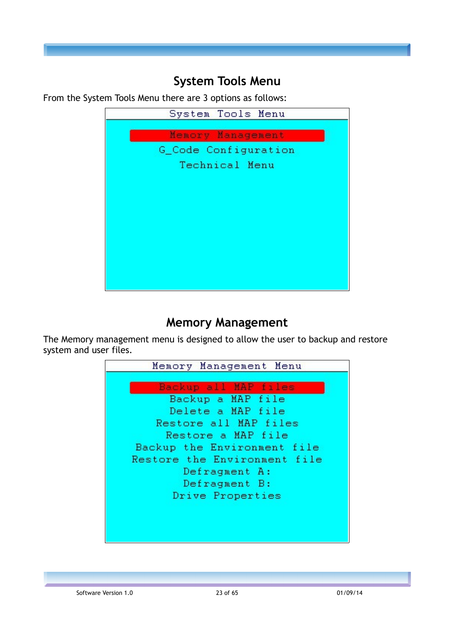## **System Tools Menu**

From the System Tools Menu there are 3 options as follows:



## **Memory Management**

The Memory management menu is designed to allow the user to backup and restore system and user files.

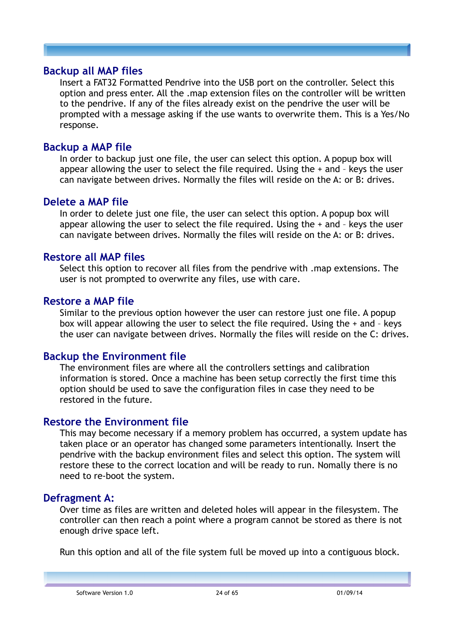#### **Backup all MAP files**

Insert a FAT32 Formatted Pendrive into the USB port on the controller. Select this option and press enter. All the .map extension files on the controller will be written to the pendrive. If any of the files already exist on the pendrive the user will be prompted with a message asking if the use wants to overwrite them. This is a Yes/No response.

### **Backup a MAP file**

In order to backup just one file, the user can select this option. A popup box will appear allowing the user to select the file required. Using the + and – keys the user can navigate between drives. Normally the files will reside on the A: or B: drives.

#### **Delete a MAP file**

In order to delete just one file, the user can select this option. A popup box will appear allowing the user to select the file required. Using the + and – keys the user can navigate between drives. Normally the files will reside on the A: or B: drives.

#### **Restore all MAP files**

Select this option to recover all files from the pendrive with .map extensions. The user is not prompted to overwrite any files, use with care.

#### **Restore a MAP file**

Similar to the previous option however the user can restore just one file. A popup box will appear allowing the user to select the file required. Using the + and – keys the user can navigate between drives. Normally the files will reside on the C: drives.

## **Backup the Environment file**

The environment files are where all the controllers settings and calibration information is stored. Once a machine has been setup correctly the first time this option should be used to save the configuration files in case they need to be restored in the future.

## **Restore the Environment file**

This may become necessary if a memory problem has occurred, a system update has taken place or an operator has changed some parameters intentionally. Insert the pendrive with the backup environment files and select this option. The system will restore these to the correct location and will be ready to run. Nomally there is no need to re-boot the system.

## **Defragment A:**

Over time as files are written and deleted holes will appear in the filesystem. The controller can then reach a point where a program cannot be stored as there is not enough drive space left.

Run this option and all of the file system full be moved up into a contiguous block.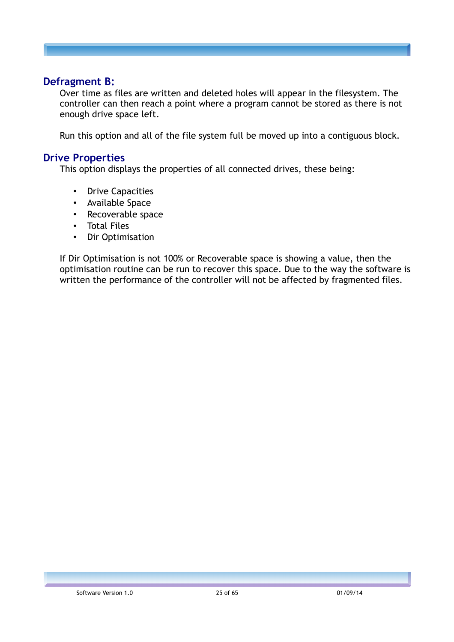#### **Defragment B:**

Over time as files are written and deleted holes will appear in the filesystem. The controller can then reach a point where a program cannot be stored as there is not enough drive space left.

Run this option and all of the file system full be moved up into a contiguous block.

#### **Drive Properties**

This option displays the properties of all connected drives, these being:

- **Drive Capacities**
- Available Space
- Recoverable space
- Total Files
- Dir Optimisation

If Dir Optimisation is not 100% or Recoverable space is showing a value, then the optimisation routine can be run to recover this space. Due to the way the software is written the performance of the controller will not be affected by fragmented files.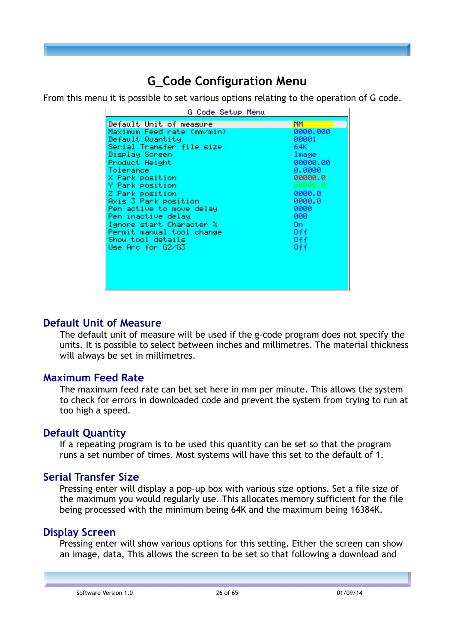## **G\_Code Configuration Menu**

From this menu it is possible to set various options relating to the operation of G code.

| G Code Setup Menu                                                                                                                                                                                                                                                                                                                                                                                    |                                                                                                                                                  |
|------------------------------------------------------------------------------------------------------------------------------------------------------------------------------------------------------------------------------------------------------------------------------------------------------------------------------------------------------------------------------------------------------|--------------------------------------------------------------------------------------------------------------------------------------------------|
| Default Unit of measure<br>Maximum Feed rate (mm/min)<br>Default Quantity<br>Serial Transfer file size<br>Display Screen<br>Product Height<br>Tolerance<br>X Park position<br><b>Y</b> Park position<br>Z Park position<br>Axis 3 Park position<br>Pen active to move delay<br>Pen inactive delay<br>Ignore start Character %<br>Permit manual tool change<br>Show tool details<br>Use Arc for G2/G3 | <b>MM</b><br>0000.000<br>00001<br>64K.<br>Image<br>00000.00<br>0.0000<br>00000.0<br>0000.0<br>0000.0<br>0000<br>000<br>On.<br>0ff<br>0ff.<br>0ff |

#### **Default Unit of Measure**

The default unit of measure will be used if the g-code program does not specify the units. It is possible to select between inches and millimetres. The material thickness will always be set in millimetres.

## **Maximum Feed Rate**

The maximum feed rate can bet set here in mm per minute. This allows the system to check for errors in downloaded code and prevent the system from trying to run at too high a speed.

## **Default Quantity**

If a repeating program is to be used this quantity can be set so that the program runs a set number of times. Most systems will have this set to the default of 1.

## **Serial Transfer Size**

Pressing enter will display a pop-up box with various size options. Set a file size of the maximum you would regularly use. This allocates memory sufficient for the file being processed with the minimum being 64K and the maximum being 16384K.

## **Display Screen**

Pressing enter will show various options for this setting. Either the screen can show an image, data, This allows the screen to be set so that following a download and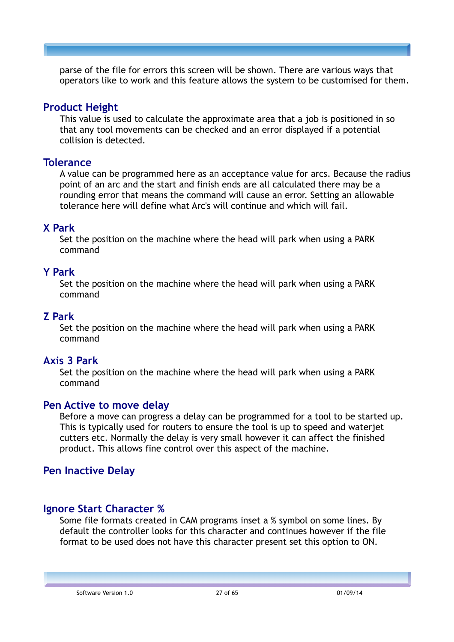parse of the file for errors this screen will be shown. There are various ways that operators like to work and this feature allows the system to be customised for them.

### **Product Height**

This value is used to calculate the approximate area that a job is positioned in so that any tool movements can be checked and an error displayed if a potential collision is detected.

#### **Tolerance**

A value can be programmed here as an acceptance value for arcs. Because the radius point of an arc and the start and finish ends are all calculated there may be a rounding error that means the command will cause an error. Setting an allowable tolerance here will define what Arc's will continue and which will fail.

## **X Park**

Set the position on the machine where the head will park when using a PARK command

#### **Y Park**

Set the position on the machine where the head will park when using a PARK command

#### **Z Park**

Set the position on the machine where the head will park when using a PARK command

## **Axis 3 Park**

Set the position on the machine where the head will park when using a PARK command

## **Pen Active to move delay**

Before a move can progress a delay can be programmed for a tool to be started up. This is typically used for routers to ensure the tool is up to speed and waterjet cutters etc. Normally the delay is very small however it can affect the finished product. This allows fine control over this aspect of the machine.

## **Pen Inactive Delay**

## **Ignore Start Character %**

Some file formats created in CAM programs inset a % symbol on some lines. By default the controller looks for this character and continues however if the file format to be used does not have this character present set this option to ON.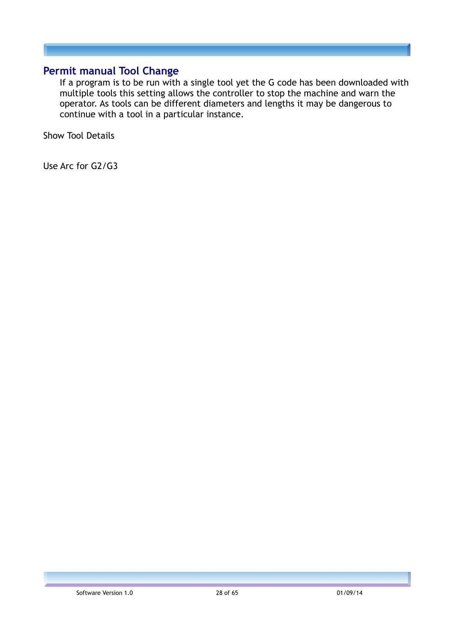### **Permit manual Tool Change**

If a program is to be run with a single tool yet the G code has been downloaded with multiple tools this setting allows the controller to stop the machine and warn the operator. As tools can be different diameters and lengths it may be dangerous to continue with a tool in a particular instance.

Show Tool Details

Use Arc for G2/G3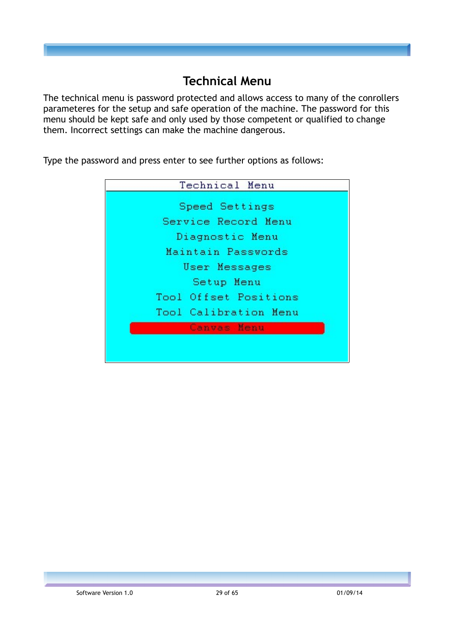## **Technical Menu**

The technical menu is password protected and allows access to many of the conrollers parameteres for the setup and safe operation of the machine. The password for this menu should be kept safe and only used by those competent or qualified to change them. Incorrect settings can make the machine dangerous.

Type the password and press enter to see further options as follows:

| Technical Menu        |  |  |  |  |
|-----------------------|--|--|--|--|
| Speed Settings        |  |  |  |  |
| Service Record Menu   |  |  |  |  |
| Diagnostic Menu       |  |  |  |  |
| Maintain Passwords    |  |  |  |  |
| User Messages         |  |  |  |  |
| Setup Menu            |  |  |  |  |
| Tool Offset Positions |  |  |  |  |
| Tool Calibration Menu |  |  |  |  |
| Canvas Menu           |  |  |  |  |
|                       |  |  |  |  |
|                       |  |  |  |  |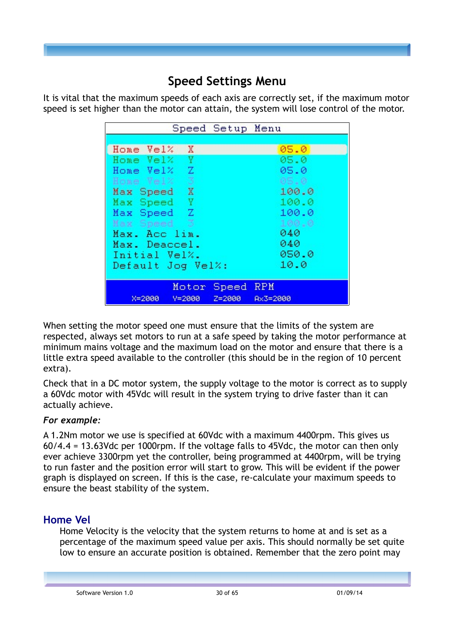## **Speed Settings Menu**

It is vital that the maximum speeds of each axis are correctly set, if the maximum motor speed is set higher than the motor can attain, the system will lose control of the motor.

| Speed Setup Menu            |          |
|-----------------------------|----------|
|                             |          |
| Home Vel% X                 | 05.0     |
| Home Vel% Y                 | 05.0     |
| Home Vel% Z                 | 05.0     |
| Home Vel% 3                 | 05.0     |
| Max Speed X                 | 100.0    |
| Max Speed Y                 | 100.0    |
| Max Speed Z                 | 100.0    |
| Max Speed 3                 | 100.0    |
| Max. Acc lim.               | 040      |
| Max. Deaccel.               | 040      |
| Initial Vel%.               | 050.0    |
| Default Jog Vel%:           | 10.0     |
|                             |          |
| Motor Speed RPM             |          |
| Y=2000 Z=2000<br>$X = 2000$ | Ax3=2000 |

When setting the motor speed one must ensure that the limits of the system are respected, always set motors to run at a safe speed by taking the motor performance at minimum mains voltage and the maximum load on the motor and ensure that there is a little extra speed available to the controller (this should be in the region of 10 percent extra).

Check that in a DC motor system, the supply voltage to the motor is correct as to supply a 60Vdc motor with 45Vdc will result in the system trying to drive faster than it can actually achieve.

#### *For example:*

A 1.2Nm motor we use is specified at 60Vdc with a maximum 4400rpm. This gives us 60/4.4 = 13.63Vdc per 1000rpm. If the voltage falls to 45Vdc, the motor can then only ever achieve 3300rpm yet the controller, being programmed at 4400rpm, will be trying to run faster and the position error will start to grow. This will be evident if the power graph is displayed on screen. If this is the case, re-calculate your maximum speeds to ensure the beast stability of the system.

## **Home Vel**

Home Velocity is the velocity that the system returns to home at and is set as a percentage of the maximum speed value per axis. This should normally be set quite low to ensure an accurate position is obtained. Remember that the zero point may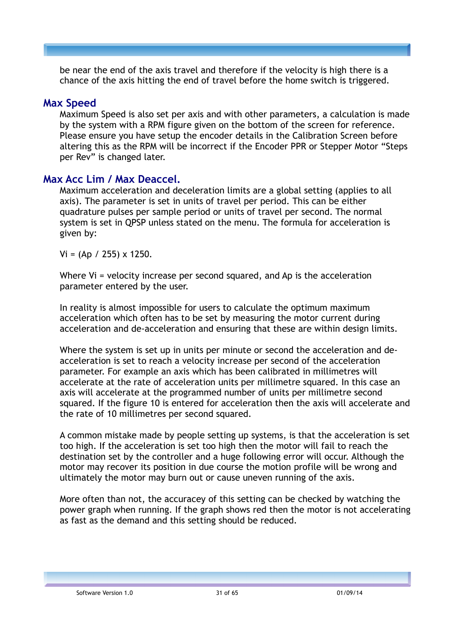be near the end of the axis travel and therefore if the velocity is high there is a chance of the axis hitting the end of travel before the home switch is triggered.

## **Max Speed**

Maximum Speed is also set per axis and with other parameters, a calculation is made by the system with a RPM figure given on the bottom of the screen for reference. Please ensure you have setup the encoder details in the Calibration Screen before altering this as the RPM will be incorrect if the Encoder PPR or Stepper Motor "Steps per Rev" is changed later.

## **Max Acc Lim / Max Deaccel.**

Maximum acceleration and deceleration limits are a global setting (applies to all axis). The parameter is set in units of travel per period. This can be either quadrature pulses per sample period or units of travel per second. The normal system is set in QPSP unless stated on the menu. The formula for acceleration is given by:

 $Vi = (Ap / 255) \times 1250.$ 

Where Vi = velocity increase per second squared, and Ap is the acceleration parameter entered by the user.

In reality is almost impossible for users to calculate the optimum maximum acceleration which often has to be set by measuring the motor current during acceleration and de-acceleration and ensuring that these are within design limits.

Where the system is set up in units per minute or second the acceleration and deacceleration is set to reach a velocity increase per second of the acceleration parameter. For example an axis which has been calibrated in millimetres will accelerate at the rate of acceleration units per millimetre squared. In this case an axis will accelerate at the programmed number of units per millimetre second squared. If the figure 10 is entered for acceleration then the axis will accelerate and the rate of 10 millimetres per second squared.

A common mistake made by people setting up systems, is that the acceleration is set too high. If the acceleration is set too high then the motor will fail to reach the destination set by the controller and a huge following error will occur. Although the motor may recover its position in due course the motion profile will be wrong and ultimately the motor may burn out or cause uneven running of the axis.

More often than not, the accuracey of this setting can be checked by watching the power graph when running. If the graph shows red then the motor is not accelerating as fast as the demand and this setting should be reduced.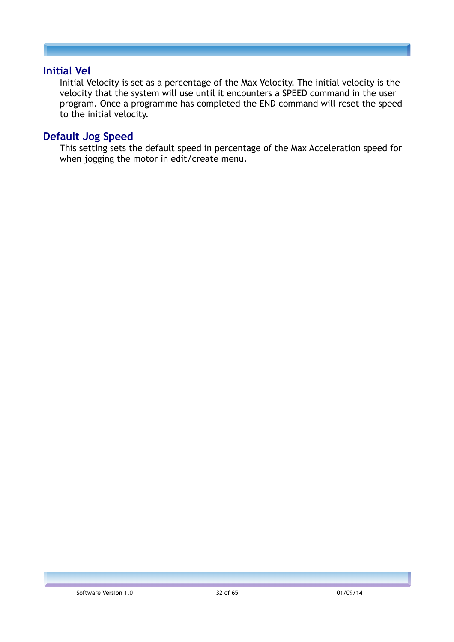#### **Initial Vel**

Initial Velocity is set as a percentage of the Max Velocity. The initial velocity is the velocity that the system will use until it encounters a SPEED command in the user program. Once a programme has completed the END command will reset the speed to the initial velocity.

## **Default Jog Speed**

This setting sets the default speed in percentage of the Max Acceleration speed for when jogging the motor in edit/create menu.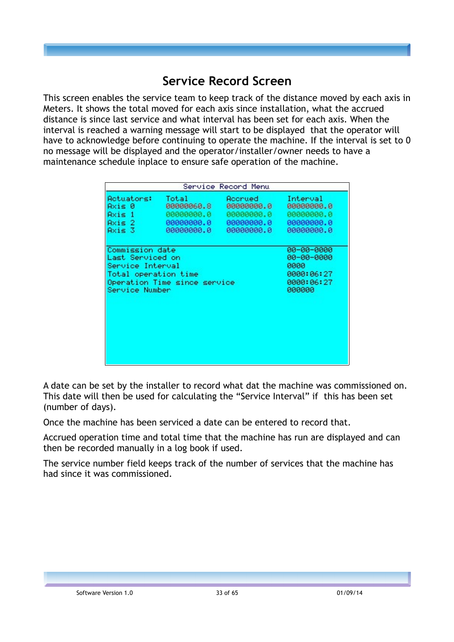## **Service Record Screen**

This screen enables the service team to keep track of the distance moved by each axis in Meters. It shows the total moved for each axis since installation, what the accrued distance is since last service and what interval has been set for each axis. When the interval is reached a warning message will start to be displayed that the operator will have to acknowledge before continuing to operate the machine. If the interval is set to 0 no message will be displayed and the operator/installer/owner needs to have a maintenance schedule inplace to ensure safe operation of the machine.

|                              |            | Service Record Menu |            |
|------------------------------|------------|---------------------|------------|
| Actuators:                   | Total      | Roonued             | Interval   |
| Axi⊆ 0                       | 00000060.8 | 00000000.0          | 00000000.0 |
| Axis 1                       | 00000000.0 | 00000000.0          | 00000000.0 |
| $Axis 2 -$                   | 00000000.0 | 00000000.0          | 00000000.0 |
| Axis 3                       | 00000000.0 | 00000000.0          | 00000000.0 |
| Commission date              |            |                     | 00-00-0000 |
| Last Serviced on             |            |                     | 00-00-0000 |
| Service Interval             |            |                     | 0000       |
| Total operation time         |            |                     | 0000:06:27 |
| Operation Time since service |            |                     | 0000:06:27 |
| Service Number               |            |                     | 000000     |

A date can be set by the installer to record what dat the machine was commissioned on. This date will then be used for calculating the "Service Interval" if this has been set (number of days).

Once the machine has been serviced a date can be entered to record that.

Accrued operation time and total time that the machine has run are displayed and can then be recorded manually in a log book if used.

The service number field keeps track of the number of services that the machine has had since it was commissioned.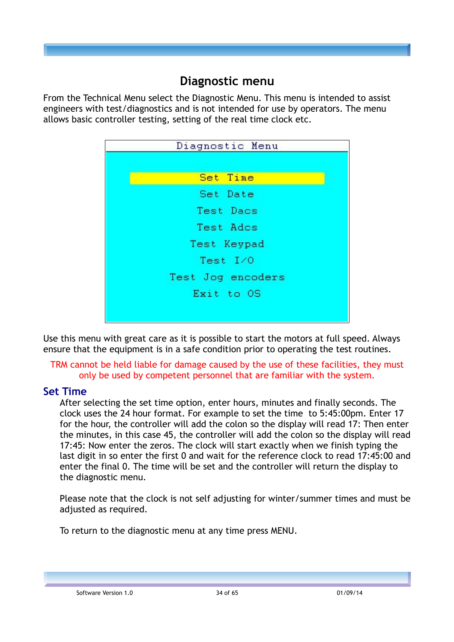## **Diagnostic menu**

From the Technical Menu select the Diagnostic Menu. This menu is intended to assist engineers with test/diagnostics and is not intended for use by operators. The menu allows basic controller testing, setting of the real time clock etc.

| Diagnostic Menu   |
|-------------------|
|                   |
| Set Time          |
| Set Date          |
| Test Dacs         |
| Test Ados         |
| Test Keypad       |
| Test I/0          |
| Test Jog encoders |
| Exit to OS        |
|                   |
|                   |

Use this menu with great care as it is possible to start the motors at full speed. Always ensure that the equipment is in a safe condition prior to operating the test routines.

#### TRM cannot be held liable for damage caused by the use of these facilities, they must only be used by competent personnel that are familiar with the system.

## **Set Time**

After selecting the set time option, enter hours, minutes and finally seconds. The clock uses the 24 hour format. For example to set the time to 5:45:00pm. Enter 17 for the hour, the controller will add the colon so the display will read 17: Then enter the minutes, in this case 45, the controller will add the colon so the display will read 17:45: Now enter the zeros. The clock will start exactly when we finish typing the last digit in so enter the first 0 and wait for the reference clock to read 17:45:00 and enter the final 0. The time will be set and the controller will return the display to the diagnostic menu.

Please note that the clock is not self adjusting for winter/summer times and must be adjusted as required.

To return to the diagnostic menu at any time press MENU.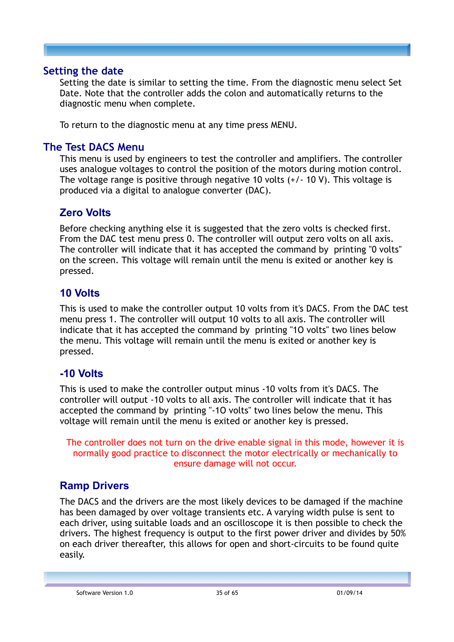#### **Setting the date**

Setting the date is similar to setting the time. From the diagnostic menu select Set Date. Note that the controller adds the colon and automatically returns to the diagnostic menu when complete.

To return to the diagnostic menu at any time press MENU.

## **The Test DACS Menu**

This menu is used by engineers to test the controller and amplifiers. The controller uses analogue voltages to control the position of the motors during motion control. The voltage range is positive through negative 10 volts (+/- 10 V). This voltage is produced via a digital to analogue converter (DAC).

## **Zero Volts**

Before checking anything else it is suggested that the zero volts is checked first. From the DAC test menu press 0. The controller will output zero volts on all axis. The controller will indicate that it has accepted the command by printing "0 volts" on the screen. This voltage will remain until the menu is exited or another key is pressed.

## **10 Volts**

This is used to make the controller output 10 volts from it's DACS. From the DAC test menu press 1. The controller will output 10 volts to all axis. The controller will indicate that it has accepted the command by printing "1O volts" two lines below the menu. This voltage will remain until the menu is exited or another key is pressed.

## **-10 Volts**

This is used to make the controller output minus -10 volts from it's DACS. The controller will output -10 volts to all axis. The controller will indicate that it has accepted the command by printing "-1O volts" two lines below the menu. This voltage will remain until the menu is exited or another key is pressed.

The controller does not turn on the drive enable signal in this mode, however it is normally good practice to disconnect the motor electrically or mechanically to ensure damage will not occur.

## **Ramp Drivers**

The DACS and the drivers are the most likely devices to be damaged if the machine has been damaged by over voltage transients etc. A varying width pulse is sent to each driver, using suitable loads and an oscilloscope it is then possible to check the drivers. The highest frequency is output to the first power driver and divides by 50% on each driver thereafter, this allows for open and short-circuits to be found quite easily.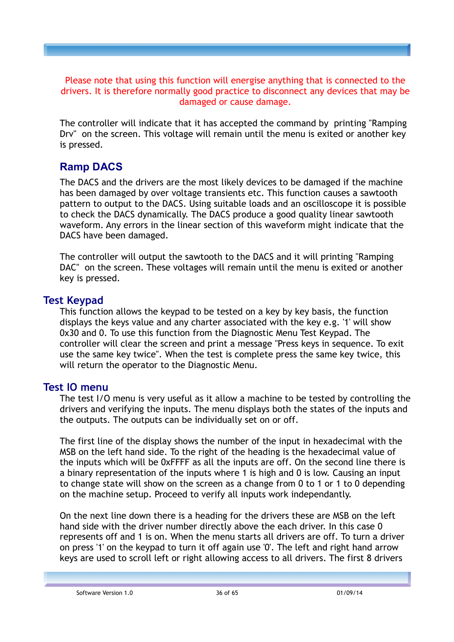Please note that using this function will energise anything that is connected to the drivers. It is therefore normally good practice to disconnect any devices that may be damaged or cause damage.

The controller will indicate that it has accepted the command by printing "Ramping Drv" on the screen. This voltage will remain until the menu is exited or another key is pressed.

## **Ramp DACS**

The DACS and the drivers are the most likely devices to be damaged if the machine has been damaged by over voltage transients etc. This function causes a sawtooth pattern to output to the DACS. Using suitable loads and an oscilloscope it is possible to check the DACS dynamically. The DACS produce a good quality linear sawtooth waveform. Any errors in the linear section of this waveform might indicate that the DACS have been damaged.

The controller will output the sawtooth to the DACS and it will printing "Ramping DAC" on the screen. These voltages will remain until the menu is exited or another key is pressed.

## **Test Keypad**

This function allows the keypad to be tested on a key by key basis, the function displays the keys value and any charter associated with the key e.g. '1' will show 0x30 and 0. To use this function from the Diagnostic Menu Test Keypad. The controller will clear the screen and print a message "Press keys in sequence. To exit use the same key twice". When the test is complete press the same key twice, this will return the operator to the Diagnostic Menu.

## **Test IO menu**

The test I/O menu is very useful as it allow a machine to be tested by controlling the drivers and verifying the inputs. The menu displays both the states of the inputs and the outputs. The outputs can be individually set on or off.

The first line of the display shows the number of the input in hexadecimal with the MSB on the left hand side. To the right of the heading is the hexadecimal value of the inputs which will be 0xFFFF as all the inputs are off. On the second line there is a binary representation of the inputs where 1 is high and 0 is low. Causing an input to change state will show on the screen as a change from 0 to 1 or 1 to 0 depending on the machine setup. Proceed to verify all inputs work independantly.

On the next line down there is a heading for the drivers these are MSB on the left hand side with the driver number directly above the each driver. In this case 0 represents off and 1 is on. When the menu starts all drivers are off. To turn a driver on press '1' on the keypad to turn it off again use '0'. The left and right hand arrow keys are used to scroll left or right allowing access to all drivers. The first 8 drivers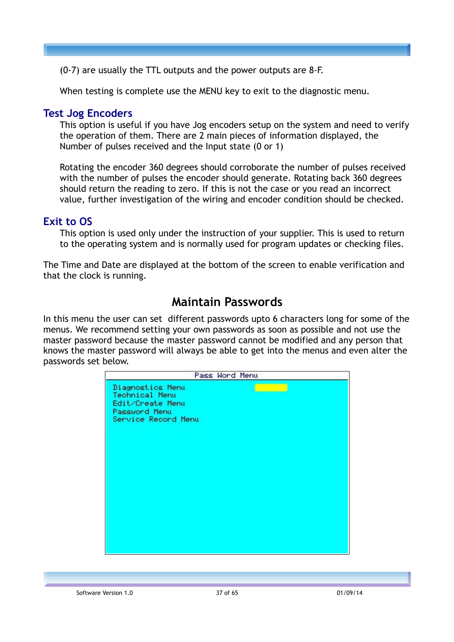(0-7) are usually the TTL outputs and the power outputs are 8-F.

When testing is complete use the MENU key to exit to the diagnostic menu.

#### **Test Jog Encoders**

This option is useful if you have Jog encoders setup on the system and need to verify the operation of them. There are 2 main pieces of information displayed, the Number of pulses received and the Input state (0 or 1)

Rotating the encoder 360 degrees should corroborate the number of pulses received with the number of pulses the encoder should generate. Rotating back 360 degrees should return the reading to zero. If this is not the case or you read an incorrect value, further investigation of the wiring and encoder condition should be checked.

#### **Exit to OS**

This option is used only under the instruction of your supplier. This is used to return to the operating system and is normally used for program updates or checking files.

The Time and Date are displayed at the bottom of the screen to enable verification and that the clock is running.

## **Maintain Passwords**

In this menu the user can set different passwords upto 6 characters long for some of the menus. We recommend setting your own passwords as soon as possible and not use the master password because the master password cannot be modified and any person that knows the master password will always be able to get into the menus and even alter the passwords set below.

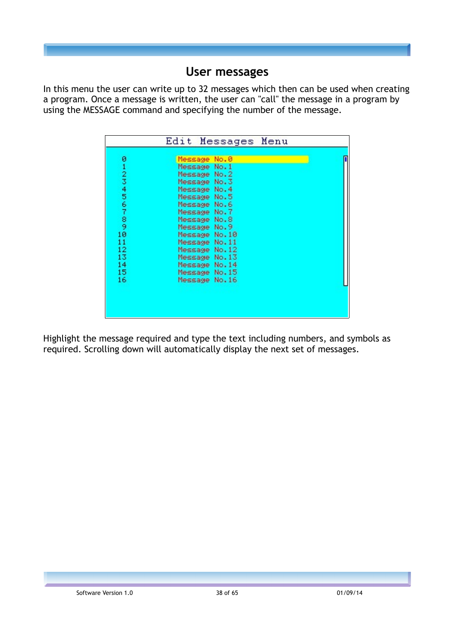## **User messages**

In this menu the user can write up to 32 messages which then can be used when creating a program. Once a message is written, the user can "call" the message in a program by using the MESSAGE command and specifying the number of the message.

|                                                          | Edit Messages Menu                                                                                                                                                                                                                                                                  |  |
|----------------------------------------------------------|-------------------------------------------------------------------------------------------------------------------------------------------------------------------------------------------------------------------------------------------------------------------------------------|--|
| Ø<br>123456789<br>10<br>11<br>12<br>13<br>14<br>15<br>16 | Message No.0<br>Message No.1<br>Message No.2<br>Message No.3<br>Message No.4<br>Message No.5<br>Message No.6<br>Message No.7<br>Message No.8<br>Message No.9<br>Message No.10<br>Message No.11<br>Message No.12<br>Message No.13<br>Message No.14<br>Message No.15<br>Message No.16 |  |

Highlight the message required and type the text including numbers, and symbols as required. Scrolling down will automatically display the next set of messages.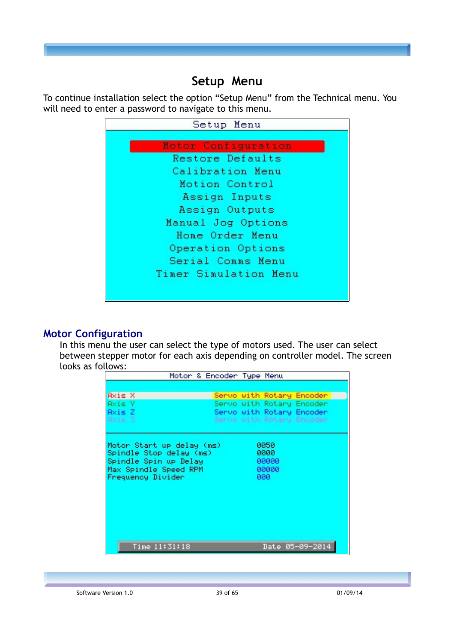## **Setup Menu**

To continue installation select the option "Setup Menu" from the Technical menu. You will need to enter a password to navigate to this menu.



#### **Motor Configuration**

In this menu the user can select the type of motors used. The user can select between stepper motor for each axis depending on controller model. The screen looks as follows:

| Motor & Encoder Type Menu |  |       |                           |
|---------------------------|--|-------|---------------------------|
|                           |  |       |                           |
| Axis X                    |  |       | Servo with Rotary Encoder |
| Axis Y                    |  |       | Servo with Rotary Encoder |
| Axis Z                    |  |       | Servo with Rotary Encoder |
| Rxis 3                    |  |       | Servo with Rotary Encoder |
|                           |  |       |                           |
|                           |  |       |                           |
| Motor Start up delay (ms) |  | 0050  |                           |
| Spindle Stop delay (ms)   |  | 0000  |                           |
| Spindle Spin up Delay     |  | 00000 |                           |
| Max Spindle Speed RPM     |  | 00000 |                           |
| Frequency Divider         |  | 000   |                           |
|                           |  |       |                           |
|                           |  |       |                           |
|                           |  |       |                           |
|                           |  |       |                           |
|                           |  |       |                           |
|                           |  |       |                           |
|                           |  |       |                           |
| Time 11:31:18             |  |       | Date 05-09-2014           |
|                           |  |       |                           |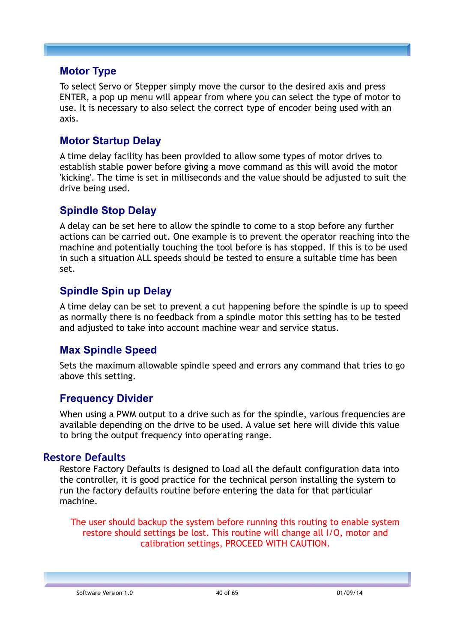### **Motor Type**

To select Servo or Stepper simply move the cursor to the desired axis and press ENTER, a pop up menu will appear from where you can select the type of motor to use. It is necessary to also select the correct type of encoder being used with an axis.

## **Motor Startup Delay**

A time delay facility has been provided to allow some types of motor drives to establish stable power before giving a move command as this will avoid the motor 'kicking'. The time is set in milliseconds and the value should be adjusted to suit the drive being used.

## **Spindle Stop Delay**

A delay can be set here to allow the spindle to come to a stop before any further actions can be carried out. One example is to prevent the operator reaching into the machine and potentially touching the tool before is has stopped. If this is to be used in such a situation ALL speeds should be tested to ensure a suitable time has been set.

## **Spindle Spin up Delay**

A time delay can be set to prevent a cut happening before the spindle is up to speed as normally there is no feedback from a spindle motor this setting has to be tested and adjusted to take into account machine wear and service status.

## **Max Spindle Speed**

Sets the maximum allowable spindle speed and errors any command that tries to go above this setting.

## **Frequency Divider**

When using a PWM output to a drive such as for the spindle, various frequencies are available depending on the drive to be used. A value set here will divide this value to bring the output frequency into operating range.

#### **Restore Defaults**

Restore Factory Defaults is designed to load all the default configuration data into the controller, it is good practice for the technical person installing the system to run the factory defaults routine before entering the data for that particular machine.

The user should backup the system before running this routing to enable system restore should settings be lost. This routine will change all I/O, motor and calibration settings, PROCEED WITH CAUTION.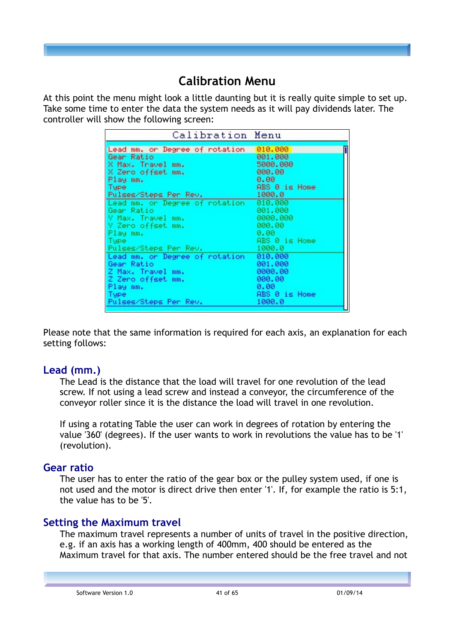## **Calibration Menu**

At this point the menu might look a little daunting but it is really quite simple to set up. Take some time to enter the data the system needs as it will pay dividends later. The controller will show the following screen:

| Calibration Menu                       |               |
|----------------------------------------|---------------|
| Lead mm. or Degree of rotation 010.000 |               |
| Gear Ratio                             | 001.000       |
| X Max. Travel mm.                      | 5000.000      |
| X Zero offset mm.                      | 000.00        |
| Play mm.                               | 0.00          |
| Tupe                                   | ABS 0 is Home |
| Pulses/Steps Per Rev.                  | 1000.0        |
| Lead mm. or Degree of rotation 010.000 |               |
| Gear Ratio                             | 001.000       |
| Y Max. Travel mm.                      | 0000.000      |
| Y Zero offset mm.                      | 000.00        |
| Play mm.                               | 0.00          |
| Tupe                                   | ABS 0 is Home |
| Pulses/Steps Per Rev.                  | 1000.0        |
| Lead mm. or Degree of rotation         | 010,000       |
| Gear Ratio                             | 001.000       |
| Z Max. Travel mm.                      | 0000.00       |
| Z Zero offset mm.                      | 000.00        |
| Play mm.                               | 0.00          |
| Type                                   | ABS 0 is Home |
| Pulses/Steps Per Rev.                  | 1000.0        |

Please note that the same information is required for each axis, an explanation for each setting follows:

## **Lead (mm.)**

The Lead is the distance that the load will travel for one revolution of the lead screw. If not using a lead screw and instead a conveyor, the circumference of the conveyor roller since it is the distance the load will travel in one revolution.

If using a rotating Table the user can work in degrees of rotation by entering the value '360' (degrees). If the user wants to work in revolutions the value has to be '1' (revolution).

## **Gear ratio**

The user has to enter the ratio of the gear box or the pulley system used, if one is not used and the motor is direct drive then enter '1'. If, for example the ratio is 5:1, the value has to be '5'.

## **Setting the Maximum travel**

The maximum travel represents a number of units of travel in the positive direction, e.g. if an axis has a working length of 400mm, 400 should be entered as the Maximum travel for that axis. The number entered should be the free travel and not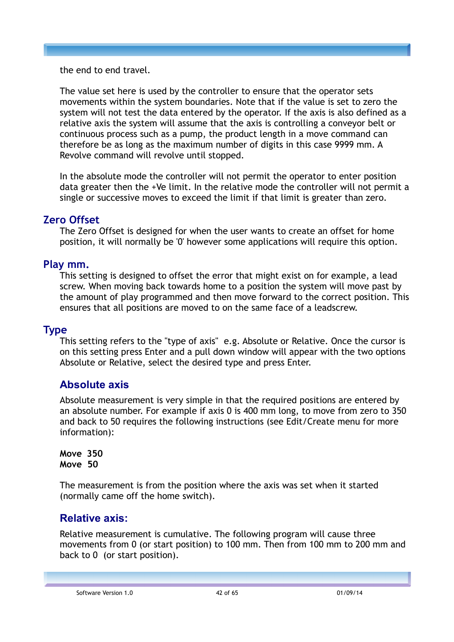the end to end travel.

The value set here is used by the controller to ensure that the operator sets movements within the system boundaries. Note that if the value is set to zero the system will not test the data entered by the operator. If the axis is also defined as a relative axis the system will assume that the axis is controlling a conveyor belt or continuous process such as a pump, the product length in a move command can therefore be as long as the maximum number of digits in this case 9999 mm. A Revolve command will revolve until stopped.

In the absolute mode the controller will not permit the operator to enter position data greater then the +Ve limit. In the relative mode the controller will not permit a single or successive moves to exceed the limit if that limit is greater than zero.

## **Zero Offset**

The Zero Offset is designed for when the user wants to create an offset for home position, it will normally be '0' however some applications will require this option.

## **Play mm.**

This setting is designed to offset the error that might exist on for example, a lead screw. When moving back towards home to a position the system will move past by the amount of play programmed and then move forward to the correct position. This ensures that all positions are moved to on the same face of a leadscrew.

## **Type**

This setting refers to the "type of axis" e.g. Absolute or Relative. Once the cursor is on this setting press Enter and a pull down window will appear with the two options Absolute or Relative, select the desired type and press Enter.

## **Absolute axis**

Absolute measurement is very simple in that the required positions are entered by an absolute number. For example if axis 0 is 400 mm long, to move from zero to 350 and back to 50 requires the following instructions (see Edit/Create menu for more information):

**Move 350 Move 50**

The measurement is from the position where the axis was set when it started (normally came off the home switch).

## **Relative axis:**

Relative measurement is cumulative. The following program will cause three movements from 0 (or start position) to 100 mm. Then from 100 mm to 200 mm and back to 0 (or start position).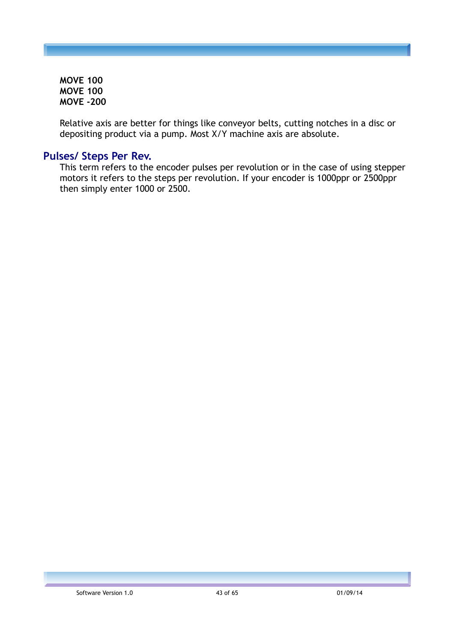**MOVE 100 MOVE 100 MOVE -200**

Relative axis are better for things like conveyor belts, cutting notches in a disc or depositing product via a pump. Most X/Y machine axis are absolute.

### **Pulses/ Steps Per Rev.**

This term refers to the encoder pulses per revolution or in the case of using stepper motors it refers to the steps per revolution. If your encoder is 1000ppr or 2500ppr then simply enter 1000 or 2500.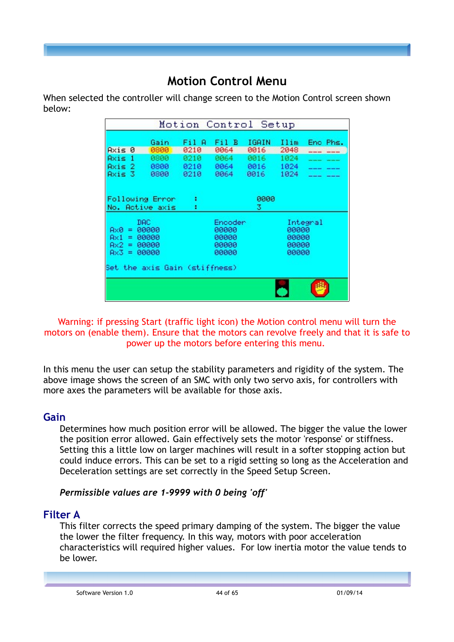## **Motion Control Menu**

When selected the controller will change screen to the Motion Control screen shown below:

| Motion Control Setup                                     |                                  |                      |                                             |                      |                                  |          |
|----------------------------------------------------------|----------------------------------|----------------------|---------------------------------------------|----------------------|----------------------------------|----------|
| Rxis 0                                                   | Gain<br>0800                     | Fil A<br>0210        | Fil B<br>0064                               | IGAIN<br>0016        | Ilim<br>2048                     | Enc Phs. |
| Axis<br>-1<br>Axis 2<br>Axis 3                           | 0800<br>0800<br>0800             | 0210<br>0210<br>0210 | 0064<br>0064<br>0064                        | 0016<br>0016<br>0016 | 1024<br>1024<br>1024             |          |
| Following Error<br>No. Active axis                       |                                  | ŧ<br>٠               |                                             | 0000<br>3.           |                                  |          |
| DAC<br>Ax0.<br>$=$<br>Ax1<br>=<br>Ax2.<br>$=$<br>$Ax3 =$ | 00000<br>00000<br>00000<br>00000 |                      | Encoder<br>00000<br>00000<br>00000<br>00000 |                      | 00000<br>00000<br>00000<br>00000 | Integral |
| Set the axis Gain (stiffness)                            |                                  |                      |                                             |                      |                                  |          |
|                                                          |                                  |                      |                                             |                      |                                  |          |

Warning: if pressing Start (traffic light icon) the Motion control menu will turn the motors on (enable them). Ensure that the motors can revolve freely and that it is safe to power up the motors before entering this menu.

In this menu the user can setup the stability parameters and rigidity of the system. The above image shows the screen of an SMC with only two servo axis, for controllers with more axes the parameters will be available for those axis.

#### **Gain**

Determines how much position error will be allowed. The bigger the value the lower the position error allowed. Gain effectively sets the motor 'response' or stiffness. Setting this a little low on larger machines will result in a softer stopping action but could induce errors. This can be set to a rigid setting so long as the Acceleration and Deceleration settings are set correctly in the Speed Setup Screen.

#### *Permissible values are 1-9999 with 0 being 'off'*

#### **Filter A**

This filter corrects the speed primary damping of the system. The bigger the value the lower the filter frequency. In this way, motors with poor acceleration characteristics will required higher values. For low inertia motor the value tends to be lower.

Software Version 1.0 65 44 of 65 01/09/14 01/09/14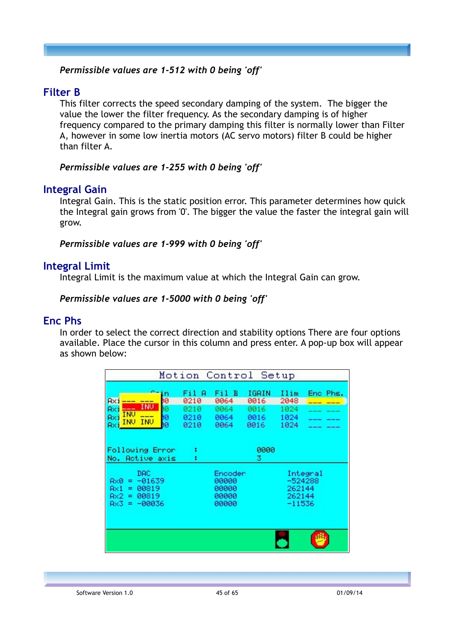#### *Permissible values are 1-512 with 0 being 'off'*

## **Filter B**

This filter corrects the speed secondary damping of the system. The bigger the value the lower the filter frequency. As the secondary damping is of higher frequency compared to the primary damping this filter is normally lower than Filter A, however in some low inertia motors (AC servo motors) filter B could be higher than filter A.

#### *Permissible values are 1-255 with 0 being 'off'*

#### **Integral Gain**

Integral Gain. This is the static position error. This parameter determines how quick the Integral gain grows from '0'. The bigger the value the faster the integral gain will grow.

#### *Permissible values are 1-999 with 0 being 'off'*

#### **Integral Limit**

Integral Limit is the maximum value at which the Integral Gain can grow.

#### *Permissible values are 1-5000 with 0 being 'off'*

#### **Enc Phs**

In order to select the correct direction and stability options There are four options available. Place the cursor in this column and press enter. A pop-up box will appear as shown below:

| Motion Control Setup                                                                                    |                                       |                                             |                                       |                                      |                       |
|---------------------------------------------------------------------------------------------------------|---------------------------------------|---------------------------------------------|---------------------------------------|--------------------------------------|-----------------------|
| ın<br>jо<br><b>Axi</b><br>INU<br>ìØ<br>Axi<br>INU<br>---<br>9Ø<br>Axi<br><b>INU</b><br>INU<br>hØ<br>Axi | Fil A<br>0210<br>0210<br>0210<br>0210 | Fil B<br>0064<br>0064<br>0064<br>0064       | IGAIN<br>0016<br>0016<br>0016<br>0016 | Ilim<br>2048<br>1024<br>1024<br>1024 | Enc Phs.<br>---       |
| Following Error<br>No. Active axis                                                                      | ŧ<br>٠                                |                                             | 0000<br>3.                            |                                      |                       |
| DAC.<br>$-01639$<br>Ax0<br>$=$<br>00819<br>Ax1<br>۰.<br>00819<br>Ax2.<br>$=$<br>Ax3.<br>$= -00036$      |                                       | Encoder<br>00000<br>00000<br>00000<br>00000 |                                       | 262144<br>262144<br>$-11536$         | Integral<br>$-524288$ |
|                                                                                                         |                                       |                                             |                                       |                                      |                       |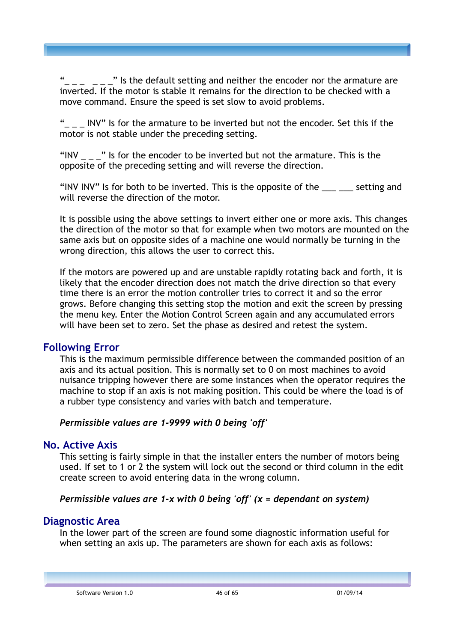" Is the default setting and neither the encoder nor the armature are inverted. If the motor is stable it remains for the direction to be checked with a move command. Ensure the speed is set slow to avoid problems.

"\_ \_ \_ INV" Is for the armature to be inverted but not the encoder. Set this if the motor is not stable under the preceding setting.

"INV The State of the encoder to be inverted but not the armature. This is the opposite of the preceding setting and will reverse the direction.

"INV INV" Is for both to be inverted. This is the opposite of the \_\_\_ \_\_\_ setting and will reverse the direction of the motor.

It is possible using the above settings to invert either one or more axis. This changes the direction of the motor so that for example when two motors are mounted on the same axis but on opposite sides of a machine one would normally be turning in the wrong direction, this allows the user to correct this.

If the motors are powered up and are unstable rapidly rotating back and forth, it is likely that the encoder direction does not match the drive direction so that every time there is an error the motion controller tries to correct it and so the error grows. Before changing this setting stop the motion and exit the screen by pressing the menu key. Enter the Motion Control Screen again and any accumulated errors will have been set to zero. Set the phase as desired and retest the system.

## **Following Error**

This is the maximum permissible difference between the commanded position of an axis and its actual position. This is normally set to 0 on most machines to avoid nuisance tripping however there are some instances when the operator requires the machine to stop if an axis is not making position. This could be where the load is of a rubber type consistency and varies with batch and temperature.

#### *Permissible values are 1-9999 with 0 being 'off'*

## **No. Active Axis**

This setting is fairly simple in that the installer enters the number of motors being used. If set to 1 or 2 the system will lock out the second or third column in the edit create screen to avoid entering data in the wrong column.

#### *Permissible values are 1-x with 0 being 'off' (x = dependant on system)*

## **Diagnostic Area**

In the lower part of the screen are found some diagnostic information useful for when setting an axis up. The parameters are shown for each axis as follows: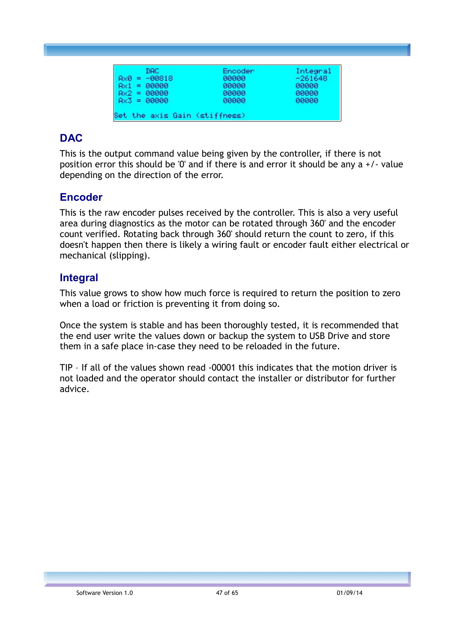| DAC.           | Encoder | Integral  |
|----------------|---------|-----------|
| $AxB = -00818$ | 00000   | $-261648$ |
| $Ax1 = B0000$  | 00000   | 00000     |
| $Ax2 = 00000$  | 00000   | 00000     |
| $Ax3 = 00000$  | 00000   | 00000     |

## **DAC**

This is the output command value being given by the controller, if there is not position error this should be '0' and if there is and error it should be any  $a + 1$  value depending on the direction of the error.

## **Encoder**

This is the raw encoder pulses received by the controller. This is also a very useful area during diagnostics as the motor can be rotated through 360' and the encoder count verified. Rotating back through 360' should return the count to zero, if this doesn't happen then there is likely a wiring fault or encoder fault either electrical or mechanical (slipping).

## **Integral**

This value grows to show how much force is required to return the position to zero when a load or friction is preventing it from doing so.

Once the system is stable and has been thoroughly tested, it is recommended that the end user write the values down or backup the system to USB Drive and store them in a safe place in-case they need to be reloaded in the future.

TIP – If all of the values shown read -00001 this indicates that the motion driver is not loaded and the operator should contact the installer or distributor for further advice.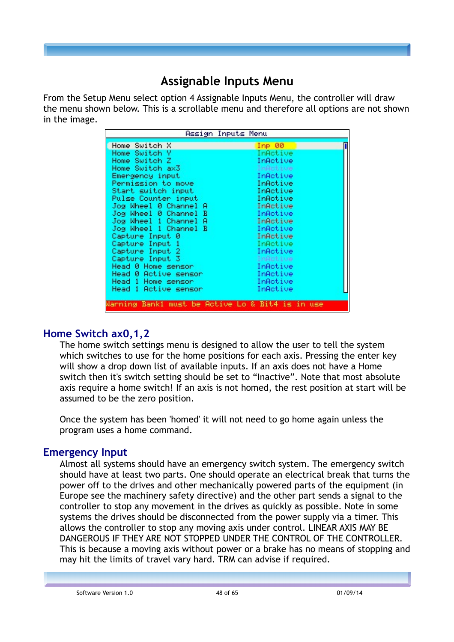## **Assignable Inputs Menu**

From the Setup Menu select option 4 Assignable Inputs Menu, the controller will draw the menu shown below. This is a scrollable menu and therefore all options are not shown in the image.

|                                                  | Assign Inputs Menu |
|--------------------------------------------------|--------------------|
| Home Switch X                                    | Imp 00             |
| Home Switch Y                                    | InActive           |
| Home Switch Z                                    | InActive           |
| Home Switch ax3                                  | InActive           |
| Emergency input                                  | InActive           |
| Permission to move                               | InActive           |
| Start switch input                               | InActive           |
| Pulse Counter input                              | InActive           |
| Jog Wheel 0 Channel A                            | InActive           |
| Jog Wheel 0 Channel B                            | InActive           |
| Jog Wheel 1 Channel<br>-A                        | InActive           |
| Jog Wheel 1 Channel B                            | InActive           |
| Capture Input 0                                  | InActive           |
| Capture Input 1                                  | InActive           |
| Capture Input 2                                  | InActive           |
| Capture Input 3                                  | InActive           |
| Head 0 Home sensor                               | InActive           |
| Head 0 Active sensor                             | InActive           |
| Head 1 Home sensor                               | InActive           |
| Head 1 Active sensor                             | InActive           |
|                                                  |                    |
| Warning Bank1 must be Active Lo & Bit4 is in use |                    |

## **Home Switch ax0,1,2**

The home switch settings menu is designed to allow the user to tell the system which switches to use for the home positions for each axis. Pressing the enter key will show a drop down list of available inputs. If an axis does not have a Home switch then it's switch setting should be set to "Inactive". Note that most absolute axis require a home switch! If an axis is not homed, the rest position at start will be assumed to be the zero position.

Once the system has been 'homed' it will not need to go home again unless the program uses a home command.

## **Emergency Input**

Almost all systems should have an emergency switch system. The emergency switch should have at least two parts. One should operate an electrical break that turns the power off to the drives and other mechanically powered parts of the equipment (in Europe see the machinery safety directive) and the other part sends a signal to the controller to stop any movement in the drives as quickly as possible. Note in some systems the drives should be disconnected from the power supply via a timer. This allows the controller to stop any moving axis under control. LINEAR AXIS MAY BE DANGEROUS IF THEY ARE NOT STOPPED UNDER THE CONTROL OF THE CONTROLLER. This is because a moving axis without power or a brake has no means of stopping and may hit the limits of travel vary hard. TRM can advise if required.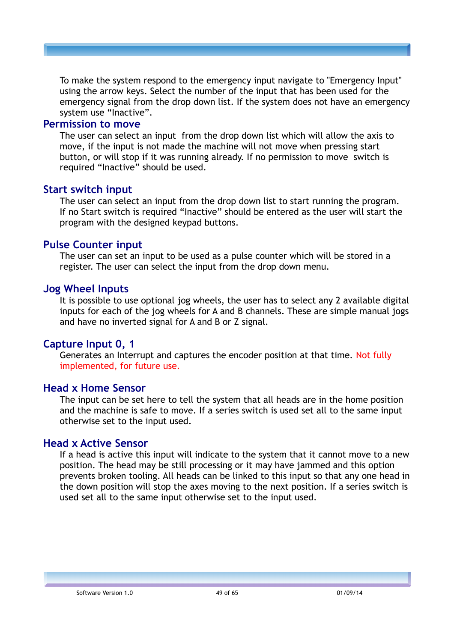To make the system respond to the emergency input navigate to "Emergency Input" using the arrow keys. Select the number of the input that has been used for the emergency signal from the drop down list. If the system does not have an emergency system use "Inactive".

#### **Permission to move**

The user can select an input from the drop down list which will allow the axis to move, if the input is not made the machine will not move when pressing start button, or will stop if it was running already. If no permission to move switch is required "Inactive" should be used.

#### **Start switch input**

The user can select an input from the drop down list to start running the program. If no Start switch is required "Inactive" should be entered as the user will start the program with the designed keypad buttons.

#### **Pulse Counter input**

The user can set an input to be used as a pulse counter which will be stored in a register. The user can select the input from the drop down menu.

#### **Jog Wheel Inputs**

It is possible to use optional jog wheels, the user has to select any 2 available digital inputs for each of the jog wheels for A and B channels. These are simple manual jogs and have no inverted signal for A and B or Z signal.

#### **Capture Input 0, 1**

Generates an Interrupt and captures the encoder position at that time. Not fully implemented, for future use.

#### **Head x Home Sensor**

The input can be set here to tell the system that all heads are in the home position and the machine is safe to move. If a series switch is used set all to the same input otherwise set to the input used.

#### **Head x Active Sensor**

If a head is active this input will indicate to the system that it cannot move to a new position. The head may be still processing or it may have jammed and this option prevents broken tooling. All heads can be linked to this input so that any one head in the down position will stop the axes moving to the next position. If a series switch is used set all to the same input otherwise set to the input used.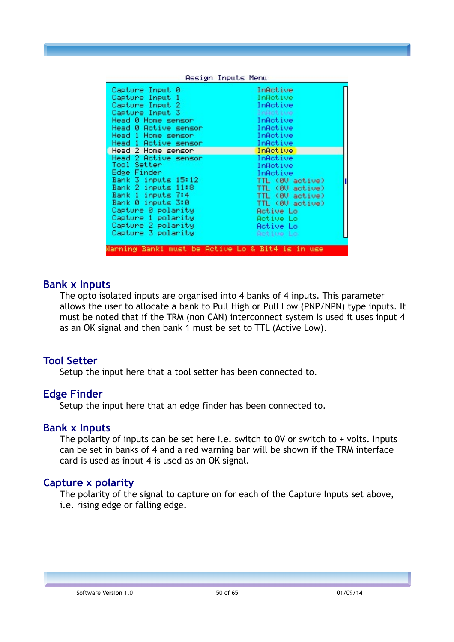|                                                  | Assign Inputs Menu |
|--------------------------------------------------|--------------------|
| Capture Input 0                                  | InActive           |
| Capture Input 1                                  | InActive           |
| Capture Input 2                                  | InActive           |
| Capture Input 3                                  | InActive           |
| Head 0 Home sensor                               | InActive           |
| Head 0 Active sensor                             | InActive           |
| Head 1 Home sensor                               | InActive           |
| Head 1 Active sensor                             | InActive           |
| Head 2 Home sensor                               | InActive           |
| Head 2 Active sensor                             | InActive           |
| Tool Setter                                      | InActive           |
| Edge Finder                                      | InActive           |
| Bank 3 inputs 15:12                              | TTL (00 active)    |
| Bank 2 inputs 11:8                               | TTL (00 active)    |
| Bank 1 inputs 7:4                                | TTL (00 active)    |
| Bank 0 inputs 3:0                                | TTL (0V active)    |
| Capture 0 polarity                               | Active Lo          |
| Capture 1 polarity                               | Rotive Lo          |
| Capture 2 polarity                               | Active Lo          |
| Capture 3 polarity                               | Active Lo          |
|                                                  |                    |
| Warning Bank1 must be Active Lo & Bit4 is in use |                    |

#### **Bank x Inputs**

The opto isolated inputs are organised into 4 banks of 4 inputs. This parameter allows the user to allocate a bank to Pull High or Pull Low (PNP/NPN) type inputs. It must be noted that if the TRM (non CAN) interconnect system is used it uses input 4 as an OK signal and then bank 1 must be set to TTL (Active Low).

#### **Tool Setter**

Setup the input here that a tool setter has been connected to.

#### **Edge Finder**

Setup the input here that an edge finder has been connected to.

#### **Bank x Inputs**

The polarity of inputs can be set here i.e. switch to  $0V$  or switch to  $+$  volts. Inputs can be set in banks of 4 and a red warning bar will be shown if the TRM interface card is used as input 4 is used as an OK signal.

#### **Capture x polarity**

The polarity of the signal to capture on for each of the Capture Inputs set above, i.e. rising edge or falling edge.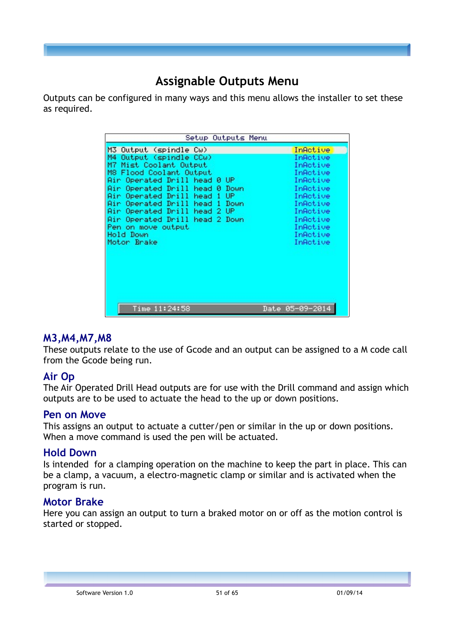## **Assignable Outputs Menu**

Outputs can be configured in many ways and this menu allows the installer to set these as required.

| Setup Outputs Menu                                                                                                                                                                                                                                                                                                                                                                            |                                                                                                                                                          |
|-----------------------------------------------------------------------------------------------------------------------------------------------------------------------------------------------------------------------------------------------------------------------------------------------------------------------------------------------------------------------------------------------|----------------------------------------------------------------------------------------------------------------------------------------------------------|
| M3 Output (spindle Cw)<br>Output (spindle CCw)<br>M4<br>M7 Mist Coolant Output<br>M8 Flood Coolant Output<br>Air Operated Drill head 0 UP<br>Air Operated Drill<br>head<br>Down<br>ø<br>Air Operated Drill head<br>UP.<br>♦<br>Air Operated Drill head<br>Down<br>4<br>2 UP<br>Air Operated Drill<br>head<br>Air Operated Drill head 2 Down<br>Pen on move output<br>Hold Down<br>Motor Brake | InActive<br>InActive<br>InActive<br>InActive<br>InActive<br>InActive<br>InActive<br>InActive<br>InActive<br>InActive<br>InActive<br>InActive<br>InActive |
| Time 11:24:58                                                                                                                                                                                                                                                                                                                                                                                 | Date 05-09-2014                                                                                                                                          |

#### **M3,M4,M7,M8**

These outputs relate to the use of Gcode and an output can be assigned to a M code call from the Gcode being run.

## **Air Op**

The Air Operated Drill Head outputs are for use with the Drill command and assign which outputs are to be used to actuate the head to the up or down positions.

#### **Pen on Move**

This assigns an output to actuate a cutter/pen or similar in the up or down positions. When a move command is used the pen will be actuated.

#### **Hold Down**

Is intended for a clamping operation on the machine to keep the part in place. This can be a clamp, a vacuum, a electro-magnetic clamp or similar and is activated when the program is run.

#### **Motor Brake**

Here you can assign an output to turn a braked motor on or off as the motion control is started or stopped.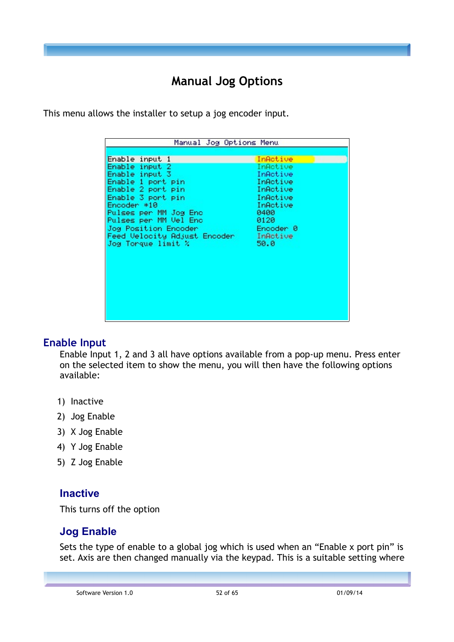## **Manual Jog Options**

This menu allows the installer to setup a jog encoder input.

## **Enable Input**

Enable Input 1, 2 and 3 all have options available from a pop-up menu. Press enter on the selected item to show the menu, you will then have the following options available:

- 1) Inactive
- 2) Jog Enable
- 3) X Jog Enable
- 4) Y Jog Enable
- 5) Z Jog Enable

## **Inactive**

This turns off the option

## **Jog Enable**

Sets the type of enable to a global jog which is used when an "Enable x port pin" is set. Axis are then changed manually via the keypad. This is a suitable setting where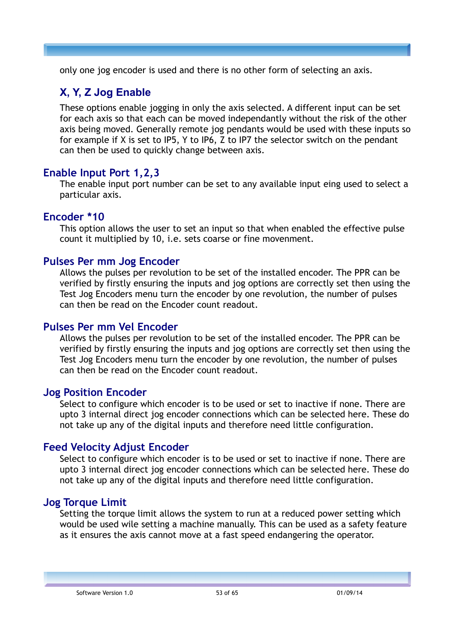only one jog encoder is used and there is no other form of selecting an axis.

## **X, Y, Z Jog Enable**

These options enable jogging in only the axis selected. A different input can be set for each axis so that each can be moved independantly without the risk of the other axis being moved. Generally remote jog pendants would be used with these inputs so for example if X is set to IP5, Y to IP6, Z to IP7 the selector switch on the pendant can then be used to quickly change between axis.

## **Enable Input Port 1,2,3**

The enable input port number can be set to any available input eing used to select a particular axis.

#### **Encoder \*10**

This option allows the user to set an input so that when enabled the effective pulse count it multiplied by 10, i.e. sets coarse or fine movenment.

## **Pulses Per mm Jog Encoder**

Allows the pulses per revolution to be set of the installed encoder. The PPR can be verified by firstly ensuring the inputs and jog options are correctly set then using the Test Jog Encoders menu turn the encoder by one revolution, the number of pulses can then be read on the Encoder count readout.

#### **Pulses Per mm Vel Encoder**

Allows the pulses per revolution to be set of the installed encoder. The PPR can be verified by firstly ensuring the inputs and jog options are correctly set then using the Test Jog Encoders menu turn the encoder by one revolution, the number of pulses can then be read on the Encoder count readout.

#### **Jog Position Encoder**

Select to configure which encoder is to be used or set to inactive if none. There are upto 3 internal direct jog encoder connections which can be selected here. These do not take up any of the digital inputs and therefore need little configuration.

## **Feed Velocity Adjust Encoder**

Select to configure which encoder is to be used or set to inactive if none. There are upto 3 internal direct jog encoder connections which can be selected here. These do not take up any of the digital inputs and therefore need little configuration.

## **Jog Torque Limit**

Setting the torque limit allows the system to run at a reduced power setting which would be used wile setting a machine manually. This can be used as a safety feature as it ensures the axis cannot move at a fast speed endangering the operator.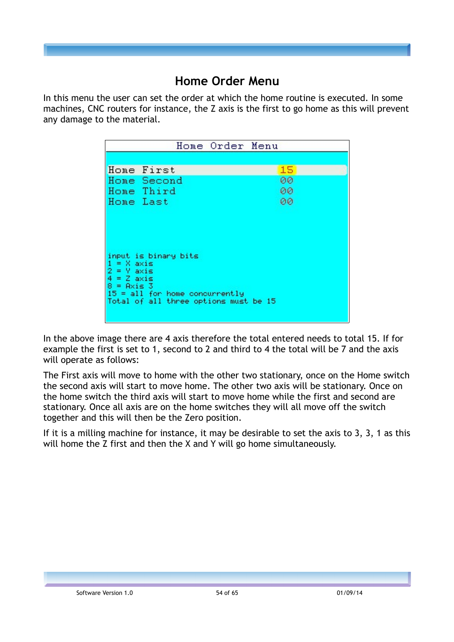## **Home Order Menu**

In this menu the user can set the order at which the home routine is executed. In some machines, CNC routers for instance, the Z axis is the first to go home as this will prevent any damage to the material.

|                                                                                                                                                                                            | Home Order Menu |    |  |
|--------------------------------------------------------------------------------------------------------------------------------------------------------------------------------------------|-----------------|----|--|
|                                                                                                                                                                                            |                 |    |  |
| Home First                                                                                                                                                                                 |                 | 15 |  |
| Home Second                                                                                                                                                                                |                 | 00 |  |
| Home Third                                                                                                                                                                                 |                 | 00 |  |
| Home Last                                                                                                                                                                                  |                 | 00 |  |
| input is binary bits<br>$1 = X axis$<br>$2 = \sqrt{4}$<br>$4 = 2$<br>$4 \times 15$<br>$8 = A \times i \leq 3$<br>$15 = all$ for home concurrently<br>Total of all three options must be 15 |                 |    |  |

In the above image there are 4 axis therefore the total entered needs to total 15. If for example the first is set to 1, second to 2 and third to 4 the total will be 7 and the axis will operate as follows:

The First axis will move to home with the other two stationary, once on the Home switch the second axis will start to move home. The other two axis will be stationary. Once on the home switch the third axis will start to move home while the first and second are stationary. Once all axis are on the home switches they will all move off the switch together and this will then be the Zero position.

If it is a milling machine for instance, it may be desirable to set the axis to 3, 3, 1 as this will home the Z first and then the X and Y will go home simultaneously.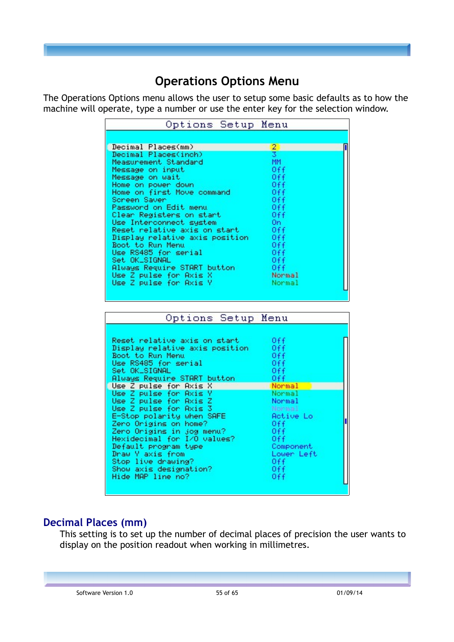## **Operations Options Menu**

The Operations Options menu allows the user to setup some basic defaults as to how the machine will operate, type a number or use the enter key for the selection window.

| Options Setup Menu                                 |                  |  |
|----------------------------------------------------|------------------|--|
|                                                    |                  |  |
| Decimal Places(mm)                                 | 2.               |  |
| Decimal Places(inch)                               |                  |  |
| Measurement Standard                               | MM.              |  |
| Message on input                                   | 0ff              |  |
| Message on wait                                    | 0ff              |  |
| Home on power down                                 | 0ff              |  |
| Home on first Move command                         | 0ff              |  |
| Screen Saver<br>Password on Edit menu              | 0ff<br>0ff       |  |
| Clear Registers on start                           | 0ff              |  |
| Use Interconnect system.                           | On.              |  |
| Reset relative axis on start                       | 0ff              |  |
| Display relative axis position                     | 0ff              |  |
| Boot to Run Menu                                   | 0ff              |  |
| Use RS485 for serial                               | 0ff              |  |
| Set OK_SIGNAL                                      | 0ff              |  |
| Always Require START button                        | 0ff              |  |
| Use Z pulse for Axis X                             | Normal           |  |
|                                                    |                  |  |
| Use Z pulse for Axis Y                             | Normal           |  |
|                                                    |                  |  |
|                                                    |                  |  |
| Options Setup Menu                                 |                  |  |
|                                                    |                  |  |
| Reset relative axis on start                       | 0ff              |  |
| Display relative axis position<br>Boot to Run Menu | 0ff.             |  |
|                                                    | 0ff              |  |
| Use RS485 for serial                               | 0ff<br>0ff       |  |
| Set OK_SIGNAL                                      | 0ff              |  |
| Always Require START button                        | Normal           |  |
| Use Z pulse for Axis Y                             | Normal           |  |
| Use Z pulse for Axis Z                             | Normal           |  |
| Use Z pulse for Axis 3                             | Mormal           |  |
| E-Stop polarity when SAFE                          | <b>Active Lo</b> |  |
| Zero Origins on home?                              | 0ff.             |  |
| Zero Origins in jog menu?                          | 0ff              |  |
| Hexidecimal for I/O values?                        | 0ff              |  |
| Default program type                               | Component        |  |
| Use Z pulse for Axis X<br>Draw Y axis from         | Lower Left       |  |
| Stop live drawing?                                 | 0ff              |  |
| Show axis designation?<br>Hide MAP line no?        | 0ff<br>0ff       |  |

## **Decimal Places (mm)**

This setting is to set up the number of decimal places of precision the user wants to display on the position readout when working in millimetres.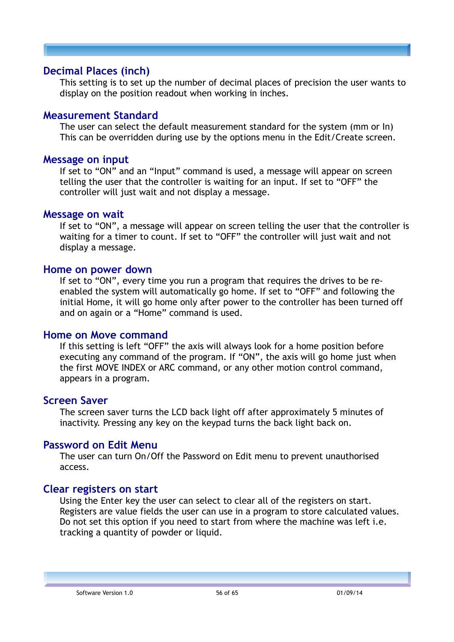#### **Decimal Places (inch)**

This setting is to set up the number of decimal places of precision the user wants to display on the position readout when working in inches.

#### **Measurement Standard**

The user can select the default measurement standard for the system (mm or In) This can be overridden during use by the options menu in the Edit/Create screen.

#### **Message on input**

If set to "ON" and an "Input" command is used, a message will appear on screen telling the user that the controller is waiting for an input. If set to "OFF" the controller will just wait and not display a message.

#### **Message on wait**

If set to "ON", a message will appear on screen telling the user that the controller is waiting for a timer to count. If set to "OFF" the controller will just wait and not display a message.

#### **Home on power down**

If set to "ON", every time you run a program that requires the drives to be reenabled the system will automatically go home. If set to "OFF" and following the initial Home, it will go home only after power to the controller has been turned off and on again or a "Home" command is used.

#### **Home on Move command**

If this setting is left "OFF" the axis will always look for a home position before executing any command of the program. If "ON", the axis will go home just when the first MOVE INDEX or ARC command, or any other motion control command, appears in a program.

#### **Screen Saver**

The screen saver turns the LCD back light off after approximately 5 minutes of inactivity. Pressing any key on the keypad turns the back light back on.

#### **Password on Edit Menu**

The user can turn On/Off the Password on Edit menu to prevent unauthorised access.

#### **Clear registers on start**

Using the Enter key the user can select to clear all of the registers on start. Registers are value fields the user can use in a program to store calculated values. Do not set this option if you need to start from where the machine was left i.e. tracking a quantity of powder or liquid.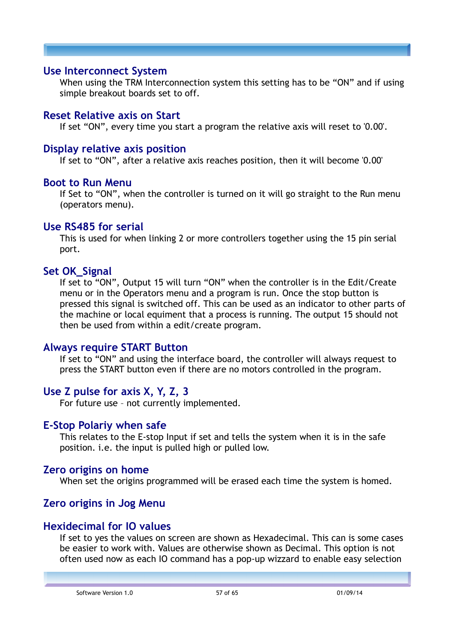#### **Use Interconnect System**

When using the TRM Interconnection system this setting has to be "ON" and if using simple breakout boards set to off.

#### **Reset Relative axis on Start**

If set "ON", every time you start a program the relative axis will reset to '0.00'.

#### **Display relative axis position**

If set to "ON", after a relative axis reaches position, then it will become '0.00'

#### **Boot to Run Menu**

If Set to "ON", when the controller is turned on it will go straight to the Run menu (operators menu).

#### **Use RS485 for serial**

This is used for when linking 2 or more controllers together using the 15 pin serial port.

#### **Set OK\_Signal**

If set to "ON", Output 15 will turn "ON" when the controller is in the Edit/Create menu or in the Operators menu and a program is run. Once the stop button is pressed this signal is switched off. This can be used as an indicator to other parts of the machine or local equiment that a process is running. The output 15 should not then be used from within a edit/create program.

#### **Always require START Button**

If set to "ON" and using the interface board, the controller will always request to press the START button even if there are no motors controlled in the program.

## **Use Z pulse for axis X, Y, Z, 3**

For future use – not currently implemented.

#### **E-Stop Polariy when safe**

This relates to the E-stop Input if set and tells the system when it is in the safe position. i.e. the input is pulled high or pulled low.

#### **Zero origins on home**

When set the origins programmed will be erased each time the system is homed.

## **Zero origins in Jog Menu**

#### **Hexidecimal for IO values**

If set to yes the values on screen are shown as Hexadecimal. This can is some cases be easier to work with. Values are otherwise shown as Decimal. This option is not often used now as each IO command has a pop-up wizzard to enable easy selection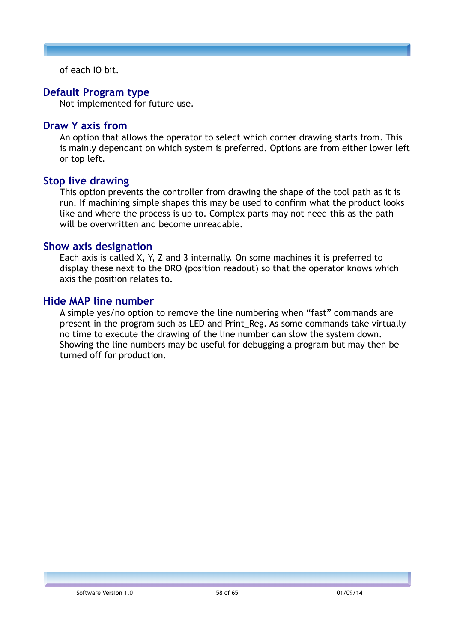of each IO bit.

#### **Default Program type**

Not implemented for future use.

#### **Draw Y axis from**

An option that allows the operator to select which corner drawing starts from. This is mainly dependant on which system is preferred. Options are from either lower left or top left.

#### **Stop live drawing**

This option prevents the controller from drawing the shape of the tool path as it is run. If machining simple shapes this may be used to confirm what the product looks like and where the process is up to. Complex parts may not need this as the path will be overwritten and become unreadable.

#### **Show axis designation**

Each axis is called X, Y, Z and 3 internally. On some machines it is preferred to display these next to the DRO (position readout) so that the operator knows which axis the position relates to.

#### **Hide MAP line number**

A simple yes/no option to remove the line numbering when "fast" commands are present in the program such as LED and Print\_Reg. As some commands take virtually no time to execute the drawing of the line number can slow the system down. Showing the line numbers may be useful for debugging a program but may then be turned off for production.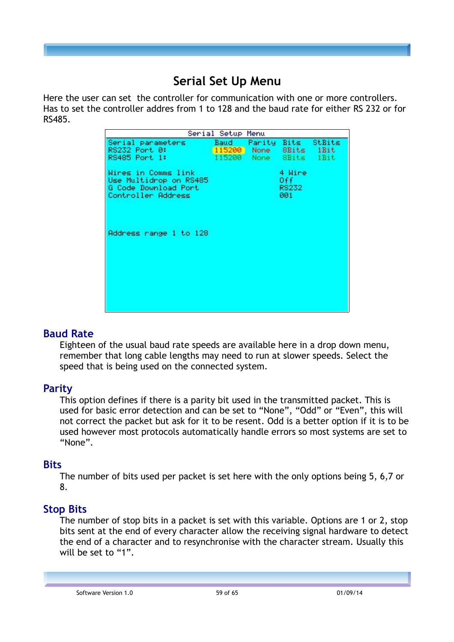## **Serial Set Up Menu**

Here the user can set the controller for communication with one or more controllers. Has to set the controller addres from 1 to 128 and the baud rate for either RS 232 or for RS485.

|                                                                                             | Serial Setup Menu                |                        |                                |        |
|---------------------------------------------------------------------------------------------|----------------------------------|------------------------|--------------------------------|--------|
| Serial parameters<br>RS232 Port 0:<br>RS485 Port 1:                                         | Baud -<br>115200 None 8Bits 1Bit | 115200 None 8Bits 1Bit | Parity Bits                    | StBits |
| Wires in Comms link<br>Use Multidrop on RS485<br>G Code Download Port<br>Controller Address |                                  |                        | 4 Wire<br>Off.<br>RS232<br>001 |        |
| Address range 1 to 128                                                                      |                                  |                        |                                |        |
|                                                                                             |                                  |                        |                                |        |

## **Baud Rate**

Eighteen of the usual baud rate speeds are available here in a drop down menu, remember that long cable lengths may need to run at slower speeds. Select the speed that is being used on the connected system.

## **Parity**

This option defines if there is a parity bit used in the transmitted packet. This is used for basic error detection and can be set to "None", "Odd" or "Even", this will not correct the packet but ask for it to be resent. Odd is a better option if it is to be used however most protocols automatically handle errors so most systems are set to "None".

## **Bits**

The number of bits used per packet is set here with the only options being 5, 6,7 or 8.

## **Stop Bits**

The number of stop bits in a packet is set with this variable. Options are 1 or 2, stop bits sent at the end of every character allow the receiving signal hardware to detect the end of a character and to resynchronise with the character stream. Usually this will be set to "1".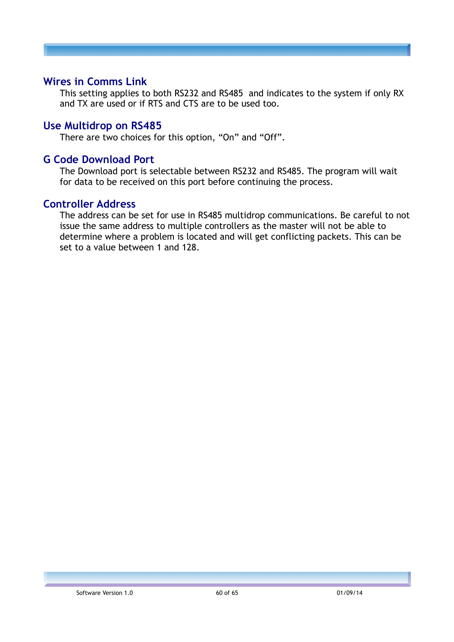## **Wires in Comms Link**

This setting applies to both RS232 and RS485 and indicates to the system if only RX and TX are used or if RTS and CTS are to be used too.

#### **Use Multidrop on RS485**

There are two choices for this option, "On" and "Off".

#### **G Code Download Port**

The Download port is selectable between RS232 and RS485. The program will wait for data to be received on this port before continuing the process.

#### **Controller Address**

The address can be set for use in RS485 multidrop communications. Be careful to not issue the same address to multiple controllers as the master will not be able to determine where a problem is located and will get conflicting packets. This can be set to a value between 1 and 128.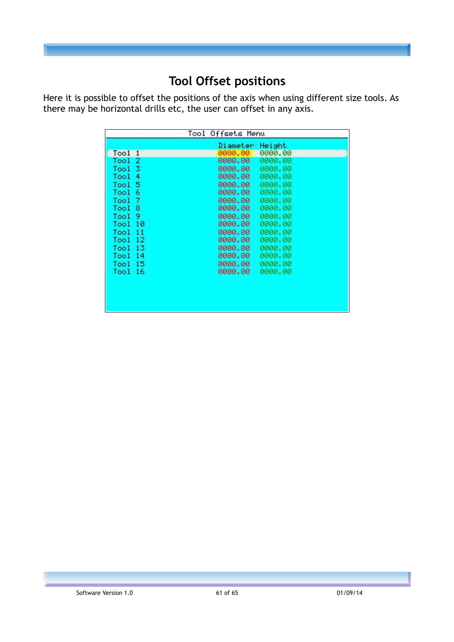## **Tool Offset positions**

Here it is possible to offset the positions of the axis when using different size tools. As there may be horizontal drills etc, the user can offset in any axis.

|                    | Diameter Height |         |  |
|--------------------|-----------------|---------|--|
| Tool 1             | 0000.00         | 0000.00 |  |
| Tool <sub>2</sub>  | 0000.00         | 0000.00 |  |
| Tool 3             | 0000.00         | 0000.00 |  |
| Tool 4             | 0000.00         | 0000.00 |  |
| Tool 5             | 0000.00         | 0000.00 |  |
| Tool 6             | 0000.00         | 0000.00 |  |
| Tool 7             | 0000.00         | 0000.00 |  |
| Tool 8             | 0000.00         | 0000.00 |  |
| Tool 9             | 0000.00         | 0000.00 |  |
| Tool 10            | 0000.00         | 0000.00 |  |
| Tool <sub>11</sub> | 0000.00         | 0000.00 |  |
| Tool 12            | 0000.00         | 0000.00 |  |
| Tool 13            | 0000.00         | 0000.00 |  |
| Tool 14            | 0000.00         | 0000.00 |  |
| Tool 15            | 0000,00         | 0000.00 |  |
| Tool 16            | 0000.00         | 0000.00 |  |
|                    |                 |         |  |
|                    |                 |         |  |
|                    |                 |         |  |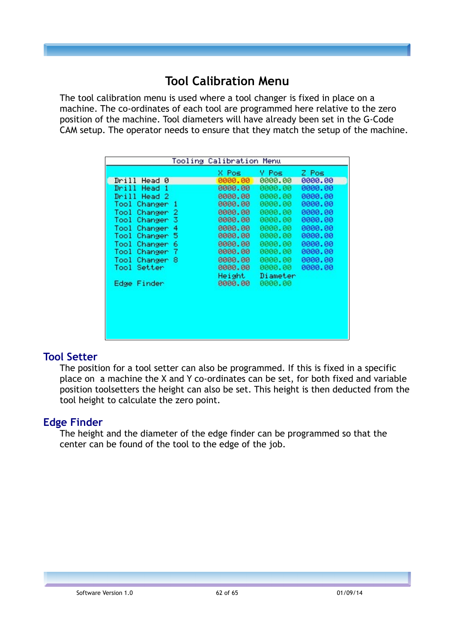## **Tool Calibration Menu**

The tool calibration menu is used where a tool changer is fixed in place on a machine. The co-ordinates of each tool are programmed here relative to the zero position of the machine. Tool diameters will have already been set in the G-Code CAM setup. The operator needs to ensure that they match the setup of the machine.

| Tooling Calibration Menu           |          |          |         |  |  |  |
|------------------------------------|----------|----------|---------|--|--|--|
|                                    | X Pos    | Y Pos    | Z Pos   |  |  |  |
| Drill<br>Head 0                    | 0000.00  | 0000.00  | 0000.00 |  |  |  |
| Drill I<br>Head 1                  | 0000.00  | 0000.00  | 0000.00 |  |  |  |
| Drill Head 2                       | 0000,00  | 0000.00  | 0000.00 |  |  |  |
| Tool Changer<br>-1                 | 0000.00  | 0000.00  | 0000.00 |  |  |  |
| Tool<br>Changer<br>2               | 0000.00  | 0000.00  | 0000.00 |  |  |  |
| з<br>Tool<br>Changer               | 0000.00  | 0000.00  | 0000.00 |  |  |  |
| Tool Changer<br>4                  | 0000.00  | 0000.00  | 0000.00 |  |  |  |
| 5<br>Tool Changer                  | 0000.00  | 0000.00  | 0000.00 |  |  |  |
| Tool Changer 6                     | 0000.00  | 0000.00  | 0000.00 |  |  |  |
| Tool<br>-7<br>Changer <sup>1</sup> | 0000.00  | 0000.00  | 0000.00 |  |  |  |
| Tool<br>Changer 8                  | 0000.00  | 0000.00  | 0000.00 |  |  |  |
| Tool Setter                        | 0000.00  | 0000.00  | 0000.00 |  |  |  |
|                                    | Height - | Diameter |         |  |  |  |
| Edge Finder                        | 0000.00  | 0000.00  |         |  |  |  |
|                                    |          |          |         |  |  |  |
|                                    |          |          |         |  |  |  |
|                                    |          |          |         |  |  |  |
|                                    |          |          |         |  |  |  |
|                                    |          |          |         |  |  |  |
|                                    |          |          |         |  |  |  |
|                                    |          |          |         |  |  |  |

## **Tool Setter**

The position for a tool setter can also be programmed. If this is fixed in a specific place on a machine the X and Y co-ordinates can be set, for both fixed and variable position toolsetters the height can also be set. This height is then deducted from the tool height to calculate the zero point.

## **Edge Finder**

The height and the diameter of the edge finder can be programmed so that the center can be found of the tool to the edge of the job.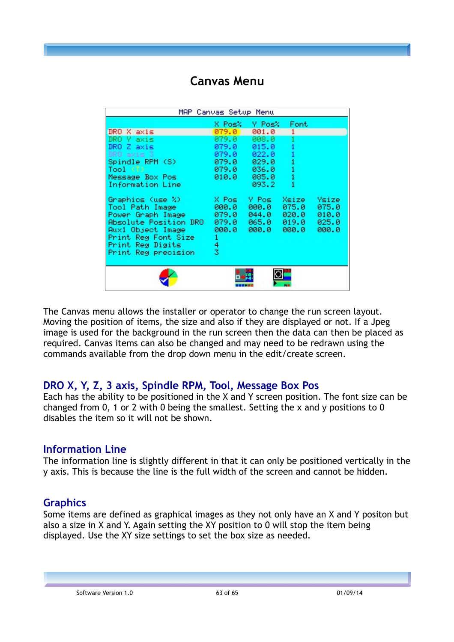## **Canvas Menu**

| MAP .<br>Canvas Setup Menu                                                                                                                                                 |                                                          |                                                     |                                  |                                           |  |
|----------------------------------------------------------------------------------------------------------------------------------------------------------------------------|----------------------------------------------------------|-----------------------------------------------------|----------------------------------|-------------------------------------------|--|
|                                                                                                                                                                            |                                                          | X Posk Y Posk                                       | Font                             |                                           |  |
| DRO X axis                                                                                                                                                                 | 079.0                                                    | 001.0                                               |                                  |                                           |  |
| DRO Y axis                                                                                                                                                                 | 079.0                                                    | 008.0                                               |                                  |                                           |  |
| DRO Z axis                                                                                                                                                                 | 079.0 -                                                  | 015.0                                               | 1                                |                                           |  |
| DRO axis 3                                                                                                                                                                 | 079.0 .                                                  | 022.0                                               |                                  |                                           |  |
| Spindle RPM (S)                                                                                                                                                            | 079.0 .                                                  | 029.0                                               |                                  |                                           |  |
| Tool (T)                                                                                                                                                                   | 079.0                                                    | 036.0                                               |                                  |                                           |  |
| Message Box Pos                                                                                                                                                            | 010.0 .                                                  | 085.0                                               |                                  |                                           |  |
| Information Line                                                                                                                                                           |                                                          | 093.2                                               |                                  |                                           |  |
| Graphics (use %) -<br>Tool Path Image<br>Power Graph Image<br>Absolute Position DRO<br>Aux1 Object Image<br>Print Reg Font Size<br>Print Reg Digits<br>Print Reg precision | X Pos<br>000.0<br>079.0<br>079.0<br>000.0<br>1<br>4<br>3 | Y Pos<br>000.0<br>$044.0$ $020.0$<br>065.0<br>000.0 | Xsize<br>075.0<br>019.0<br>000.0 | Ysize<br>075.0<br>010.0<br>025.0<br>000.0 |  |
|                                                                                                                                                                            |                                                          |                                                     |                                  |                                           |  |

The Canvas menu allows the installer or operator to change the run screen layout. Moving the position of items, the size and also if they are displayed or not. If a Jpeg image is used for the background in the run screen then the data can then be placed as required. Canvas items can also be changed and may need to be redrawn using the commands available from the drop down menu in the edit/create screen.

## **DRO X, Y, Z, 3 axis, Spindle RPM, Tool, Message Box Pos**

Each has the ability to be positioned in the X and Y screen position. The font size can be changed from 0, 1 or 2 with 0 being the smallest. Setting the x and y positions to 0 disables the item so it will not be shown.

## **Information Line**

The information line is slightly different in that it can only be positioned vertically in the y axis. This is because the line is the full width of the screen and cannot be hidden.

## **Graphics**

Some items are defined as graphical images as they not only have an X and Y positon but also a size in X and Y. Again setting the XY position to 0 will stop the item being displayed. Use the XY size settings to set the box size as needed.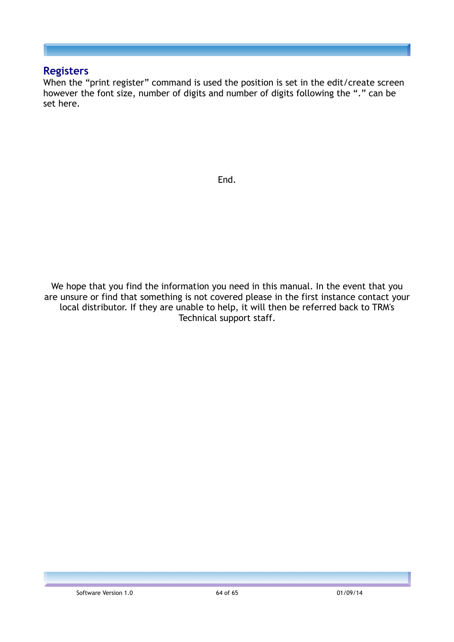#### **Registers**

When the "print register" command is used the position is set in the edit/create screen however the font size, number of digits and number of digits following the "." can be set here.

End.

We hope that you find the information you need in this manual. In the event that you are unsure or find that something is not covered please in the first instance contact your local distributor. If they are unable to help, it will then be referred back to TRM's Technical support staff.